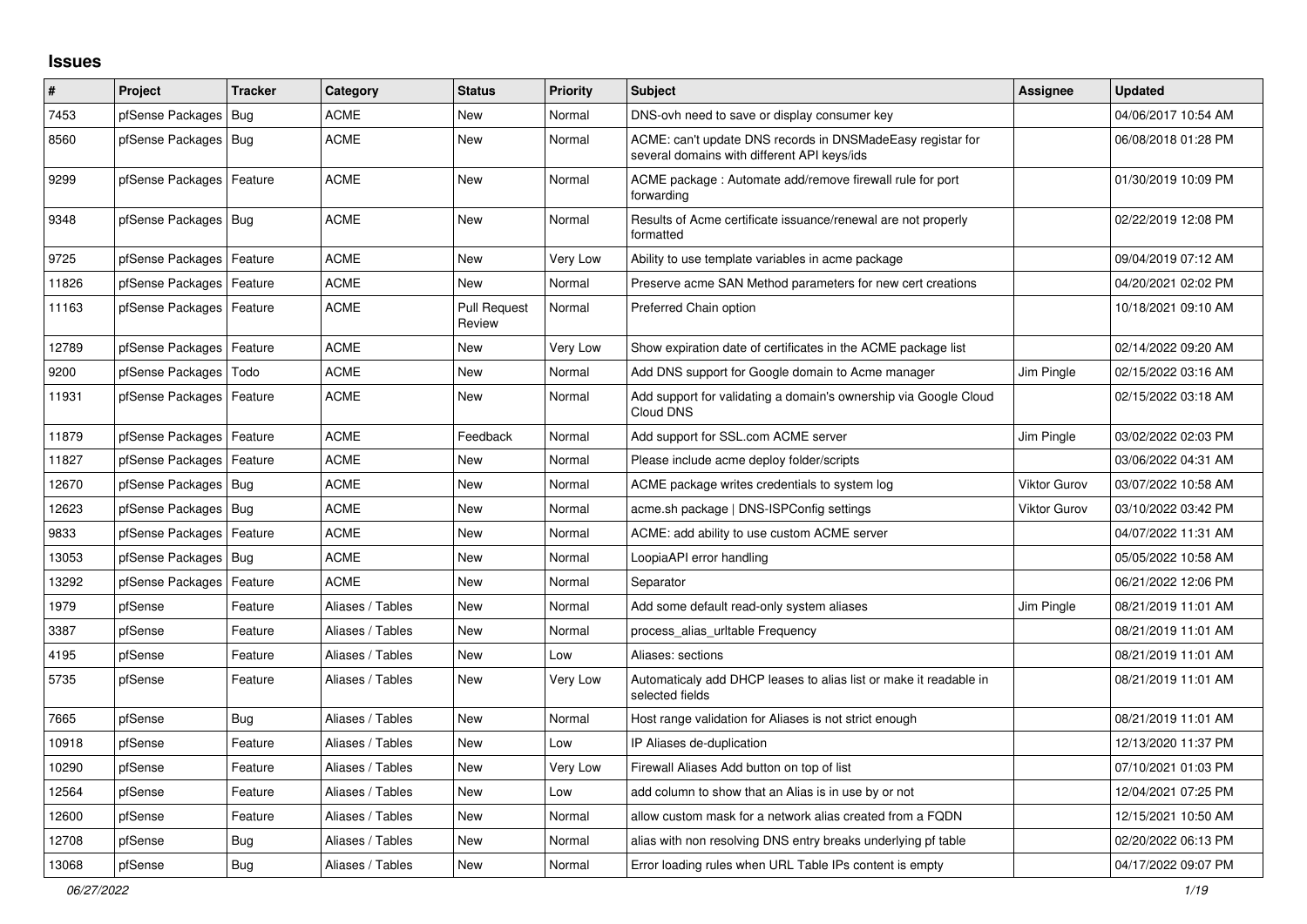## **Issues**

| #     | Project                    | <b>Tracker</b> | Category         | <b>Status</b>                 | <b>Priority</b> | <b>Subject</b>                                                                                            | Assignee            | Updated             |
|-------|----------------------------|----------------|------------------|-------------------------------|-----------------|-----------------------------------------------------------------------------------------------------------|---------------------|---------------------|
| 7453  | pfSense Packages           | <b>Bug</b>     | ACME             | New                           | Normal          | DNS-ovh need to save or display consumer key                                                              |                     | 04/06/2017 10:54 AM |
| 8560  | pfSense Packages   Bug     |                | <b>ACME</b>      | <b>New</b>                    | Normal          | ACME: can't update DNS records in DNSMadeEasy registar for<br>several domains with different API keys/ids |                     | 06/08/2018 01:28 PM |
| 9299  | pfSense Packages           | Feature        | <b>ACME</b>      | New                           | Normal          | ACME package : Automate add/remove firewall rule for port<br>forwarding                                   |                     | 01/30/2019 10:09 PM |
| 9348  | pfSense Packages   Bug     |                | ACME             | <b>New</b>                    | Normal          | Results of Acme certificate issuance/renewal are not properly<br>formatted                                |                     | 02/22/2019 12:08 PM |
| 9725  | pfSense Packages   Feature |                | <b>ACME</b>      | <b>New</b>                    | Very Low        | Ability to use template variables in acme package                                                         |                     | 09/04/2019 07:12 AM |
| 11826 | pfSense Packages           | Feature        | <b>ACME</b>      | <b>New</b>                    | Normal          | Preserve acme SAN Method parameters for new cert creations                                                |                     | 04/20/2021 02:02 PM |
| 11163 | pfSense Packages   Feature |                | ACME             | <b>Pull Request</b><br>Review | Normal          | Preferred Chain option                                                                                    |                     | 10/18/2021 09:10 AM |
| 12789 | pfSense Packages   Feature |                | ACME             | New                           | Very Low        | Show expiration date of certificates in the ACME package list                                             |                     | 02/14/2022 09:20 AM |
| 9200  | pfSense Packages           | Todo           | ACME             | New                           | Normal          | Add DNS support for Google domain to Acme manager                                                         | Jim Pingle          | 02/15/2022 03:16 AM |
| 11931 | pfSense Packages   Feature |                | ACME             | New                           | Normal          | Add support for validating a domain's ownership via Google Cloud<br>Cloud DNS                             |                     | 02/15/2022 03:18 AM |
| 11879 | pfSense Packages   Feature |                | <b>ACME</b>      | Feedback                      | Normal          | Add support for SSL.com ACME server                                                                       | Jim Pingle          | 03/02/2022 02:03 PM |
| 11827 | pfSense Packages           | Feature        | <b>ACME</b>      | <b>New</b>                    | Normal          | Please include acme deploy folder/scripts                                                                 |                     | 03/06/2022 04:31 AM |
| 12670 | pfSense Packages   Bug     |                | <b>ACME</b>      | <b>New</b>                    | Normal          | ACME package writes credentials to system log                                                             | <b>Viktor Gurov</b> | 03/07/2022 10:58 AM |
| 12623 | pfSense Packages   Bug     |                | ACME             | <b>New</b>                    | Normal          | acme.sh package   DNS-ISPConfig settings                                                                  | <b>Viktor Gurov</b> | 03/10/2022 03:42 PM |
| 9833  | pfSense Packages   Feature |                | ACME             | New                           | Normal          | ACME: add ability to use custom ACME server                                                               |                     | 04/07/2022 11:31 AM |
| 13053 | pfSense Packages   Bug     |                | <b>ACME</b>      | New                           | Normal          | LoopiaAPI error handling                                                                                  |                     | 05/05/2022 10:58 AM |
| 13292 | pfSense Packages           | Feature        | ACME             | <b>New</b>                    | Normal          | Separator                                                                                                 |                     | 06/21/2022 12:06 PM |
| 1979  | pfSense                    | Feature        | Aliases / Tables | <b>New</b>                    | Normal          | Add some default read-only system aliases                                                                 | Jim Pingle          | 08/21/2019 11:01 AM |
| 3387  | pfSense                    | Feature        | Aliases / Tables | <b>New</b>                    | Normal          | process_alias_urltable Frequency                                                                          |                     | 08/21/2019 11:01 AM |
| 4195  | pfSense                    | Feature        | Aliases / Tables | <b>New</b>                    | Low             | Aliases: sections                                                                                         |                     | 08/21/2019 11:01 AM |
| 5735  | pfSense                    | Feature        | Aliases / Tables | New                           | Very Low        | Automaticaly add DHCP leases to alias list or make it readable in<br>selected fields                      |                     | 08/21/2019 11:01 AM |
| 7665  | pfSense                    | Bug            | Aliases / Tables | New                           | Normal          | Host range validation for Aliases is not strict enough                                                    |                     | 08/21/2019 11:01 AM |
| 10918 | pfSense                    | Feature        | Aliases / Tables | New                           | Low             | IP Aliases de-duplication                                                                                 |                     | 12/13/2020 11:37 PM |
| 10290 | pfSense                    | Feature        | Aliases / Tables | New                           | Very Low        | Firewall Aliases Add button on top of list                                                                |                     | 07/10/2021 01:03 PM |
| 12564 | pfSense                    | Feature        | Aliases / Tables | <b>New</b>                    | Low             | add column to show that an Alias is in use by or not                                                      |                     | 12/04/2021 07:25 PM |
| 12600 | pfSense                    | Feature        | Aliases / Tables | <b>New</b>                    | Normal          | allow custom mask for a network alias created from a FQDN                                                 |                     | 12/15/2021 10:50 AM |
| 12708 | pfSense                    | Bug            | Aliases / Tables | <b>New</b>                    | Normal          | alias with non resolving DNS entry breaks underlying pf table                                             |                     | 02/20/2022 06:13 PM |
| 13068 | pfSense                    | <b>Bug</b>     | Aliases / Tables | <b>New</b>                    | Normal          | Error loading rules when URL Table IPs content is empty                                                   |                     | 04/17/2022 09:07 PM |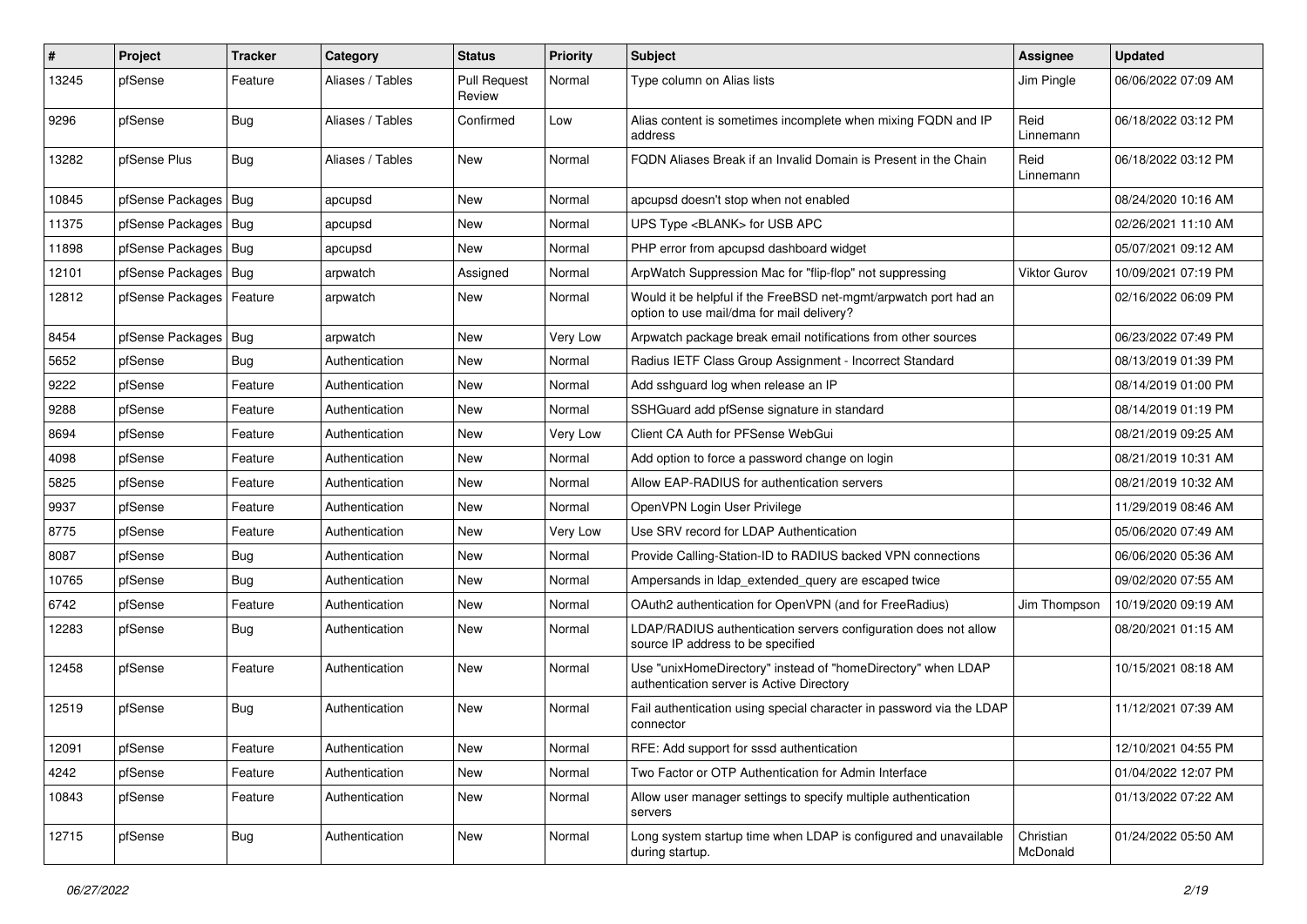| $\pmb{\#}$ | Project                | <b>Tracker</b> | Category         | <b>Status</b>                 | <b>Priority</b> | <b>Subject</b>                                                                                                | Assignee              | <b>Updated</b>      |
|------------|------------------------|----------------|------------------|-------------------------------|-----------------|---------------------------------------------------------------------------------------------------------------|-----------------------|---------------------|
| 13245      | pfSense                | Feature        | Aliases / Tables | <b>Pull Request</b><br>Review | Normal          | Type column on Alias lists                                                                                    | Jim Pingle            | 06/06/2022 07:09 AM |
| 9296       | pfSense                | Bug            | Aliases / Tables | Confirmed                     | Low             | Alias content is sometimes incomplete when mixing FQDN and IP<br>address                                      | Reid<br>Linnemann     | 06/18/2022 03:12 PM |
| 13282      | pfSense Plus           | Bug            | Aliases / Tables | <b>New</b>                    | Normal          | FQDN Aliases Break if an Invalid Domain is Present in the Chain                                               | Reid<br>Linnemann     | 06/18/2022 03:12 PM |
| 10845      | pfSense Packages   Bug |                | apcupsd          | New                           | Normal          | apcupsd doesn't stop when not enabled                                                                         |                       | 08/24/2020 10:16 AM |
| 11375      | pfSense Packages   Bug |                | apcupsd          | New                           | Normal          | UPS Type <blank> for USB APC</blank>                                                                          |                       | 02/26/2021 11:10 AM |
| 11898      | pfSense Packages   Bug |                | apcupsd          | New                           | Normal          | PHP error from apcupsd dashboard widget                                                                       |                       | 05/07/2021 09:12 AM |
| 12101      | pfSense Packages   Bug |                | arpwatch         | Assigned                      | Normal          | ArpWatch Suppression Mac for "flip-flop" not suppressing                                                      | Viktor Gurov          | 10/09/2021 07:19 PM |
| 12812      | pfSense Packages       | Feature        | arpwatch         | New                           | Normal          | Would it be helpful if the FreeBSD net-mgmt/arpwatch port had an<br>option to use mail/dma for mail delivery? |                       | 02/16/2022 06:09 PM |
| 8454       | pfSense Packages       | <b>Bug</b>     | arpwatch         | <b>New</b>                    | Very Low        | Arpwatch package break email notifications from other sources                                                 |                       | 06/23/2022 07:49 PM |
| 5652       | pfSense                | <b>Bug</b>     | Authentication   | New                           | Normal          | Radius IETF Class Group Assignment - Incorrect Standard                                                       |                       | 08/13/2019 01:39 PM |
| 9222       | pfSense                | Feature        | Authentication   | New                           | Normal          | Add sshguard log when release an IP                                                                           |                       | 08/14/2019 01:00 PM |
| 9288       | pfSense                | Feature        | Authentication   | New                           | Normal          | SSHGuard add pfSense signature in standard                                                                    |                       | 08/14/2019 01:19 PM |
| 8694       | pfSense                | Feature        | Authentication   | New                           | Very Low        | Client CA Auth for PFSense WebGui                                                                             |                       | 08/21/2019 09:25 AM |
| 4098       | pfSense                | Feature        | Authentication   | <b>New</b>                    | Normal          | Add option to force a password change on login                                                                |                       | 08/21/2019 10:31 AM |
| 5825       | pfSense                | Feature        | Authentication   | New                           | Normal          | Allow EAP-RADIUS for authentication servers                                                                   |                       | 08/21/2019 10:32 AM |
| 9937       | pfSense                | Feature        | Authentication   | New                           | Normal          | OpenVPN Login User Privilege                                                                                  |                       | 11/29/2019 08:46 AM |
| 8775       | pfSense                | Feature        | Authentication   | New                           | Very Low        | Use SRV record for LDAP Authentication                                                                        |                       | 05/06/2020 07:49 AM |
| 8087       | pfSense                | Bug            | Authentication   | New                           | Normal          | Provide Calling-Station-ID to RADIUS backed VPN connections                                                   |                       | 06/06/2020 05:36 AM |
| 10765      | pfSense                | Bug            | Authentication   | New                           | Normal          | Ampersands in Idap extended query are escaped twice                                                           |                       | 09/02/2020 07:55 AM |
| 6742       | pfSense                | Feature        | Authentication   | New                           | Normal          | OAuth2 authentication for OpenVPN (and for FreeRadius)                                                        | Jim Thompson          | 10/19/2020 09:19 AM |
| 12283      | pfSense                | Bug            | Authentication   | New                           | Normal          | LDAP/RADIUS authentication servers configuration does not allow<br>source IP address to be specified          |                       | 08/20/2021 01:15 AM |
| 12458      | pfSense                | Feature        | Authentication   | New                           | Normal          | Use "unixHomeDirectory" instead of "homeDirectory" when LDAP<br>authentication server is Active Directory     |                       | 10/15/2021 08:18 AM |
| 12519      | pfSense                | Bug            | Authentication   | <b>New</b>                    | Normal          | Fail authentication using special character in password via the LDAP<br>connector                             |                       | 11/12/2021 07:39 AM |
| 12091      | pfSense                | Feature        | Authentication   | New                           | Normal          | RFE: Add support for sssd authentication                                                                      |                       | 12/10/2021 04:55 PM |
| 4242       | pfSense                | Feature        | Authentication   | New                           | Normal          | Two Factor or OTP Authentication for Admin Interface                                                          |                       | 01/04/2022 12:07 PM |
| 10843      | pfSense                | Feature        | Authentication   | New                           | Normal          | Allow user manager settings to specify multiple authentication<br>servers                                     |                       | 01/13/2022 07:22 AM |
| 12715      | pfSense                | <b>Bug</b>     | Authentication   | New                           | Normal          | Long system startup time when LDAP is configured and unavailable<br>during startup.                           | Christian<br>McDonald | 01/24/2022 05:50 AM |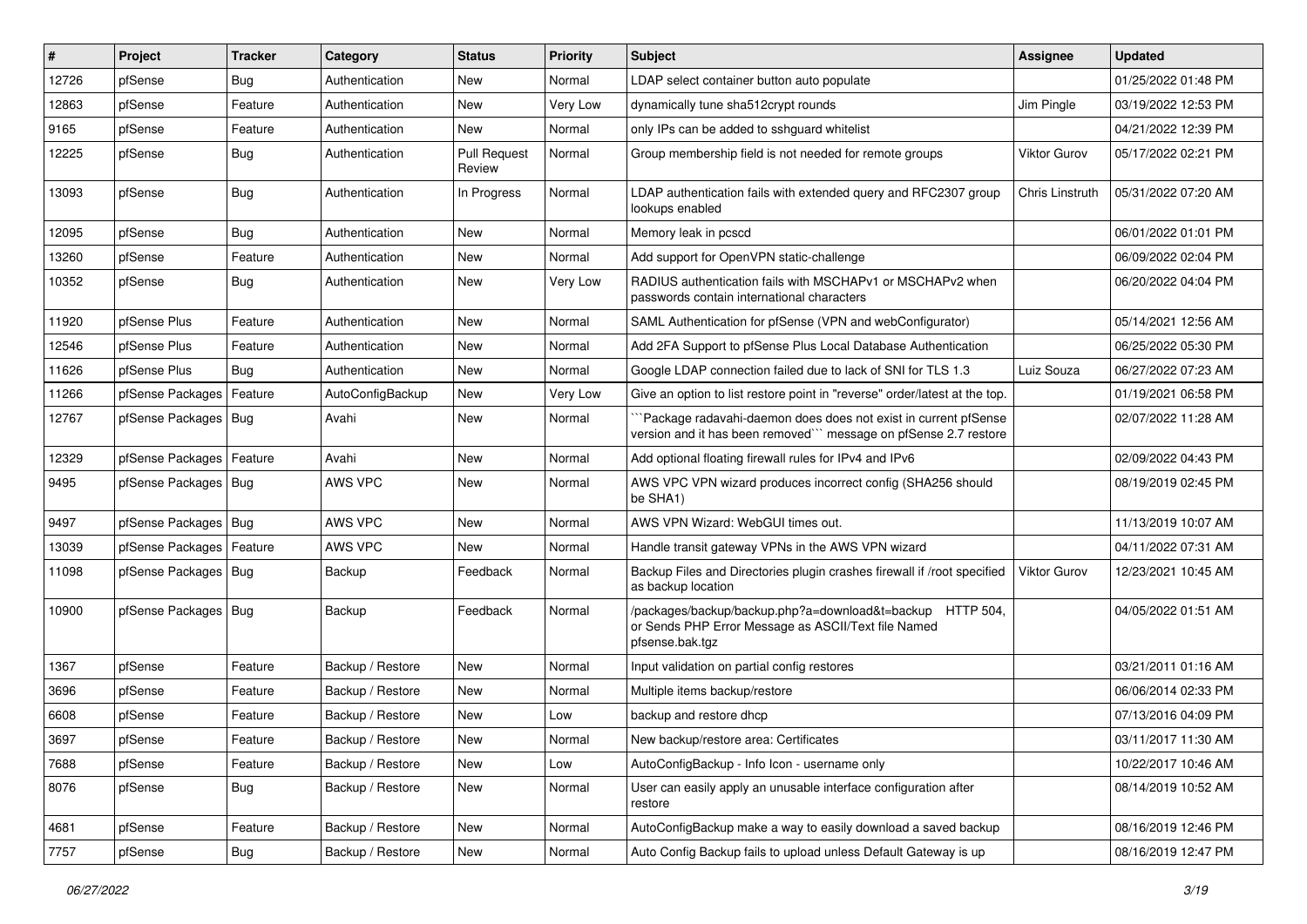| ∦     | Project                    | <b>Tracker</b> | Category         | <b>Status</b>                 | <b>Priority</b> | <b>Subject</b>                                                                                                                      | Assignee            | <b>Updated</b>      |
|-------|----------------------------|----------------|------------------|-------------------------------|-----------------|-------------------------------------------------------------------------------------------------------------------------------------|---------------------|---------------------|
| 12726 | pfSense                    | Bug            | Authentication   | New                           | Normal          | LDAP select container button auto populate                                                                                          |                     | 01/25/2022 01:48 PM |
| 12863 | pfSense                    | Feature        | Authentication   | <b>New</b>                    | Very Low        | dynamically tune sha512crypt rounds                                                                                                 | Jim Pingle          | 03/19/2022 12:53 PM |
| 9165  | pfSense                    | Feature        | Authentication   | <b>New</b>                    | Normal          | only IPs can be added to sshquard whitelist                                                                                         |                     | 04/21/2022 12:39 PM |
| 12225 | pfSense                    | Bug            | Authentication   | <b>Pull Request</b><br>Review | Normal          | Group membership field is not needed for remote groups                                                                              | <b>Viktor Gurov</b> | 05/17/2022 02:21 PM |
| 13093 | pfSense                    | Bug            | Authentication   | In Progress                   | Normal          | LDAP authentication fails with extended query and RFC2307 group<br>lookups enabled                                                  | Chris Linstruth     | 05/31/2022 07:20 AM |
| 12095 | pfSense                    | Bug            | Authentication   | <b>New</b>                    | Normal          | Memory leak in pcscd                                                                                                                |                     | 06/01/2022 01:01 PM |
| 13260 | pfSense                    | Feature        | Authentication   | New                           | Normal          | Add support for OpenVPN static-challenge                                                                                            |                     | 06/09/2022 02:04 PM |
| 10352 | pfSense                    | Bug            | Authentication   | <b>New</b>                    | Very Low        | RADIUS authentication fails with MSCHAPv1 or MSCHAPv2 when<br>passwords contain international characters                            |                     | 06/20/2022 04:04 PM |
| 11920 | pfSense Plus               | Feature        | Authentication   | <b>New</b>                    | Normal          | SAML Authentication for pfSense (VPN and webConfigurator)                                                                           |                     | 05/14/2021 12:56 AM |
| 12546 | pfSense Plus               | Feature        | Authentication   | New                           | Normal          | Add 2FA Support to pfSense Plus Local Database Authentication                                                                       |                     | 06/25/2022 05:30 PM |
| 11626 | pfSense Plus               | Bug            | Authentication   | New                           | Normal          | Google LDAP connection failed due to lack of SNI for TLS 1.3                                                                        | Luiz Souza          | 06/27/2022 07:23 AM |
| 11266 | pfSense Packages   Feature |                | AutoConfigBackup | New                           | Very Low        | Give an option to list restore point in "reverse" order/latest at the top.                                                          |                     | 01/19/2021 06:58 PM |
| 12767 | pfSense Packages   Bug     |                | Avahi            | New                           | Normal          | `Package radavahi-daemon does does not exist in current pfSense<br>version and it has been removed"" message on pfSense 2.7 restore |                     | 02/07/2022 11:28 AM |
| 12329 | pfSense Packages   Feature |                | Avahi            | <b>New</b>                    | Normal          | Add optional floating firewall rules for IPv4 and IPv6                                                                              |                     | 02/09/2022 04:43 PM |
| 9495  | pfSense Packages   Bug     |                | AWS VPC          | New                           | Normal          | AWS VPC VPN wizard produces incorrect config (SHA256 should<br>be SHA1)                                                             |                     | 08/19/2019 02:45 PM |
| 9497  | pfSense Packages   Bug     |                | AWS VPC          | <b>New</b>                    | Normal          | AWS VPN Wizard: WebGUI times out.                                                                                                   |                     | 11/13/2019 10:07 AM |
| 13039 | pfSense Packages           | Feature        | AWS VPC          | <b>New</b>                    | Normal          | Handle transit gateway VPNs in the AWS VPN wizard                                                                                   |                     | 04/11/2022 07:31 AM |
| 11098 | pfSense Packages   Bug     |                | Backup           | Feedback                      | Normal          | Backup Files and Directories plugin crashes firewall if /root specified<br>as backup location                                       | Viktor Gurov        | 12/23/2021 10:45 AM |
| 10900 | pfSense Packages   Bug     |                | Backup           | Feedback                      | Normal          | /packages/backup/backup.php?a=download&t=backup HTTP 504,<br>or Sends PHP Error Message as ASCII/Text file Named<br>pfsense.bak.tgz |                     | 04/05/2022 01:51 AM |
| 1367  | pfSense                    | Feature        | Backup / Restore | New                           | Normal          | Input validation on partial config restores                                                                                         |                     | 03/21/2011 01:16 AM |
| 3696  | pfSense                    | Feature        | Backup / Restore | New                           | Normal          | Multiple items backup/restore                                                                                                       |                     | 06/06/2014 02:33 PM |
| 6608  | pfSense                    | Feature        | Backup / Restore | New                           | Low             | backup and restore dhcp                                                                                                             |                     | 07/13/2016 04:09 PM |
| 3697  | pfSense                    | Feature        | Backup / Restore | New                           | Normal          | New backup/restore area: Certificates                                                                                               |                     | 03/11/2017 11:30 AM |
| 7688  | pfSense                    | Feature        | Backup / Restore | New                           | Low             | AutoConfigBackup - Info Icon - username only                                                                                        |                     | 10/22/2017 10:46 AM |
| 8076  | pfSense                    | <b>Bug</b>     | Backup / Restore | New                           | Normal          | User can easily apply an unusable interface configuration after<br>restore                                                          |                     | 08/14/2019 10:52 AM |
| 4681  | pfSense                    | Feature        | Backup / Restore | New                           | Normal          | AutoConfigBackup make a way to easily download a saved backup                                                                       |                     | 08/16/2019 12:46 PM |
| 7757  | pfSense                    | Bug            | Backup / Restore | New                           | Normal          | Auto Config Backup fails to upload unless Default Gateway is up                                                                     |                     | 08/16/2019 12:47 PM |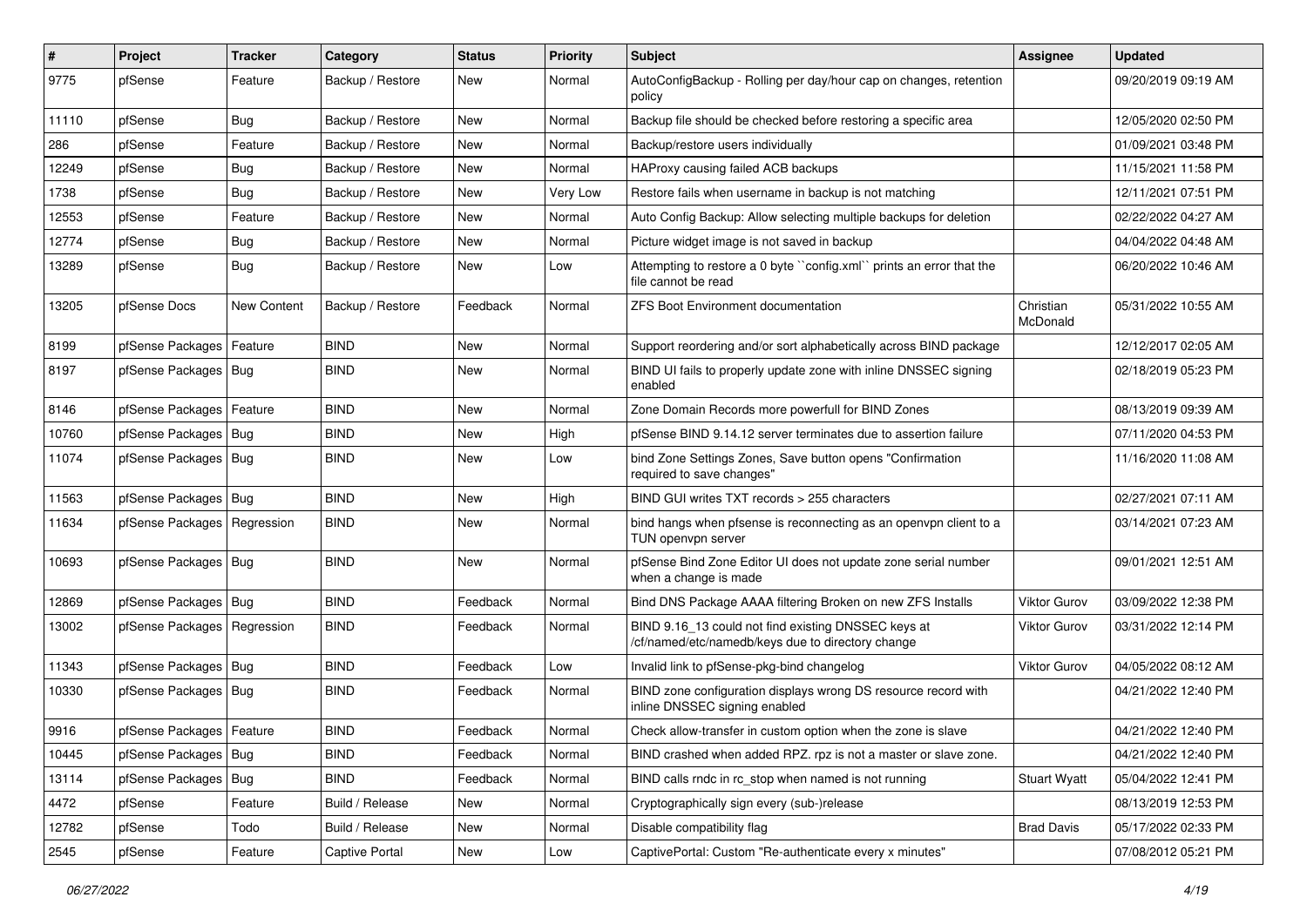| $\sharp$ | Project                       | Tracker     | Category         | <b>Status</b> | <b>Priority</b> | Subject                                                                                                  | <b>Assignee</b>       | <b>Updated</b>      |
|----------|-------------------------------|-------------|------------------|---------------|-----------------|----------------------------------------------------------------------------------------------------------|-----------------------|---------------------|
| 9775     | pfSense                       | Feature     | Backup / Restore | New           | Normal          | AutoConfigBackup - Rolling per day/hour cap on changes, retention<br>policy                              |                       | 09/20/2019 09:19 AM |
| 11110    | pfSense                       | Bug         | Backup / Restore | New           | Normal          | Backup file should be checked before restoring a specific area                                           |                       | 12/05/2020 02:50 PM |
| 286      | pfSense                       | Feature     | Backup / Restore | <b>New</b>    | Normal          | Backup/restore users individually                                                                        |                       | 01/09/2021 03:48 PM |
| 12249    | pfSense                       | Bug         | Backup / Restore | <b>New</b>    | Normal          | HAProxy causing failed ACB backups                                                                       |                       | 11/15/2021 11:58 PM |
| 1738     | pfSense                       | Bug         | Backup / Restore | <b>New</b>    | Very Low        | Restore fails when username in backup is not matching                                                    |                       | 12/11/2021 07:51 PM |
| 12553    | pfSense                       | Feature     | Backup / Restore | <b>New</b>    | Normal          | Auto Config Backup: Allow selecting multiple backups for deletion                                        |                       | 02/22/2022 04:27 AM |
| 12774    | pfSense                       | Bug         | Backup / Restore | New           | Normal          | Picture widget image is not saved in backup                                                              |                       | 04/04/2022 04:48 AM |
| 13289    | pfSense                       | Bug         | Backup / Restore | New           | Low             | Attempting to restore a 0 byte "config.xml" prints an error that the<br>file cannot be read              |                       | 06/20/2022 10:46 AM |
| 13205    | pfSense Docs                  | New Content | Backup / Restore | Feedback      | Normal          | <b>ZFS Boot Environment documentation</b>                                                                | Christian<br>McDonald | 05/31/2022 10:55 AM |
| 8199     | pfSense Packages              | Feature     | <b>BIND</b>      | <b>New</b>    | Normal          | Support reordering and/or sort alphabetically across BIND package                                        |                       | 12/12/2017 02:05 AM |
| 8197     | pfSense Packages   Bug        |             | <b>BIND</b>      | <b>New</b>    | Normal          | BIND UI fails to properly update zone with inline DNSSEC signing<br>enabled                              |                       | 02/18/2019 05:23 PM |
| 8146     | pfSense Packages              | Feature     | <b>BIND</b>      | <b>New</b>    | Normal          | Zone Domain Records more powerfull for BIND Zones                                                        |                       | 08/13/2019 09:39 AM |
| 10760    | pfSense Packages   Bug        |             | <b>BIND</b>      | New           | High            | pfSense BIND 9.14.12 server terminates due to assertion failure                                          |                       | 07/11/2020 04:53 PM |
| 11074    | pfSense Packages   Bug        |             | <b>BIND</b>      | New           | Low             | bind Zone Settings Zones, Save button opens "Confirmation<br>required to save changes"                   |                       | 11/16/2020 11:08 AM |
| 11563    | pfSense Packages   Bug        |             | <b>BIND</b>      | <b>New</b>    | High            | BIND GUI writes TXT records > 255 characters                                                             |                       | 02/27/2021 07:11 AM |
| 11634    | pfSense Packages   Regression |             | <b>BIND</b>      | New           | Normal          | bind hangs when pfsense is reconnecting as an openvpn client to a<br>TUN openvpn server                  |                       | 03/14/2021 07:23 AM |
| 10693    | pfSense Packages   Bug        |             | <b>BIND</b>      | New           | Normal          | pfSense Bind Zone Editor UI does not update zone serial number<br>when a change is made                  |                       | 09/01/2021 12:51 AM |
| 12869    | pfSense Packages   Bug        |             | <b>BIND</b>      | Feedback      | Normal          | Bind DNS Package AAAA filtering Broken on new ZFS Installs                                               | Viktor Gurov          | 03/09/2022 12:38 PM |
| 13002    | pfSense Packages   Regression |             | <b>BIND</b>      | Feedback      | Normal          | BIND 9.16_13 could not find existing DNSSEC keys at<br>/cf/named/etc/namedb/keys due to directory change | Viktor Gurov          | 03/31/2022 12:14 PM |
| 11343    | pfSense Packages   Bug        |             | <b>BIND</b>      | Feedback      | Low             | Invalid link to pfSense-pkg-bind changelog                                                               | <b>Viktor Gurov</b>   | 04/05/2022 08:12 AM |
| 10330    | pfSense Packages   Bug        |             | <b>BIND</b>      | Feedback      | Normal          | BIND zone configuration displays wrong DS resource record with<br>inline DNSSEC signing enabled          |                       | 04/21/2022 12:40 PM |
| 9916     | pfSense Packages   Feature    |             | <b>BIND</b>      | Feedback      | Normal          | Check allow-transfer in custom option when the zone is slave                                             |                       | 04/21/2022 12:40 PM |
| 10445    | pfSense Packages   Bug        |             | <b>BIND</b>      | Feedback      | Normal          | BIND crashed when added RPZ. rpz is not a master or slave zone.                                          |                       | 04/21/2022 12:40 PM |
| 13114    | pfSense Packages              | Bug         | <b>BIND</b>      | Feedback      | Normal          | BIND calls rndc in rc_stop when named is not running                                                     | <b>Stuart Wyatt</b>   | 05/04/2022 12:41 PM |
| 4472     | pfSense                       | Feature     | Build / Release  | New           | Normal          | Cryptographically sign every (sub-)release                                                               |                       | 08/13/2019 12:53 PM |
| 12782    | pfSense                       | Todo        | Build / Release  | New           | Normal          | Disable compatibility flag                                                                               | <b>Brad Davis</b>     | 05/17/2022 02:33 PM |
| 2545     | pfSense                       | Feature     | Captive Portal   | New           | Low             | CaptivePortal: Custom "Re-authenticate every x minutes"                                                  |                       | 07/08/2012 05:21 PM |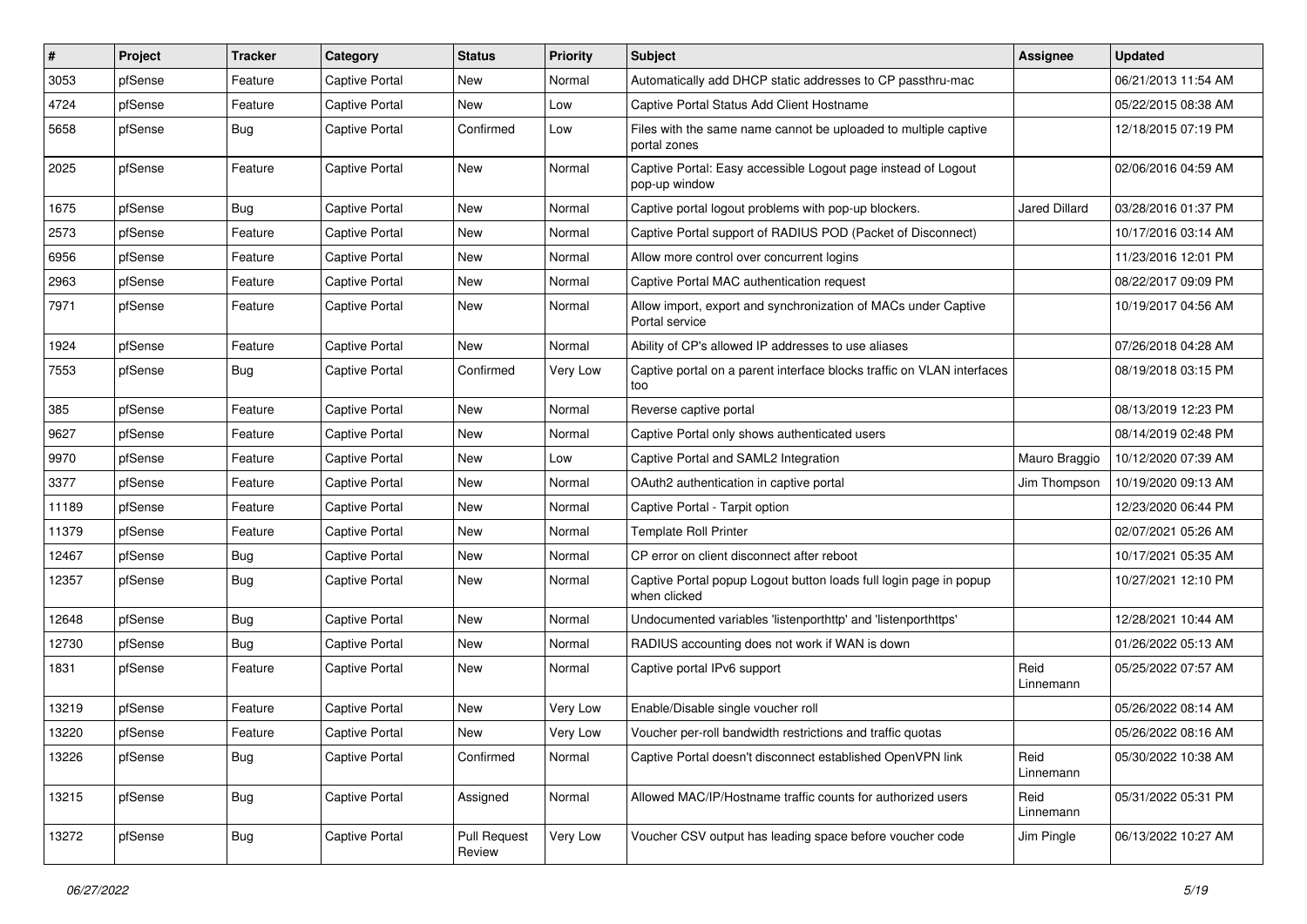| $\pmb{\#}$ | Project | <b>Tracker</b> | Category              | <b>Status</b>                 | <b>Priority</b> | Subject                                                                           | Assignee             | <b>Updated</b>      |
|------------|---------|----------------|-----------------------|-------------------------------|-----------------|-----------------------------------------------------------------------------------|----------------------|---------------------|
| 3053       | pfSense | Feature        | Captive Portal        | New                           | Normal          | Automatically add DHCP static addresses to CP passthru-mac                        |                      | 06/21/2013 11:54 AM |
| 4724       | pfSense | Feature        | Captive Portal        | New                           | Low             | Captive Portal Status Add Client Hostname                                         |                      | 05/22/2015 08:38 AM |
| 5658       | pfSense | Bug            | Captive Portal        | Confirmed                     | Low             | Files with the same name cannot be uploaded to multiple captive<br>portal zones   |                      | 12/18/2015 07:19 PM |
| 2025       | pfSense | Feature        | <b>Captive Portal</b> | New                           | Normal          | Captive Portal: Easy accessible Logout page instead of Logout<br>pop-up window    |                      | 02/06/2016 04:59 AM |
| 1675       | pfSense | Bug            | Captive Portal        | <b>New</b>                    | Normal          | Captive portal logout problems with pop-up blockers.                              | <b>Jared Dillard</b> | 03/28/2016 01:37 PM |
| 2573       | pfSense | Feature        | <b>Captive Portal</b> | <b>New</b>                    | Normal          | Captive Portal support of RADIUS POD (Packet of Disconnect)                       |                      | 10/17/2016 03:14 AM |
| 6956       | pfSense | Feature        | Captive Portal        | New                           | Normal          | Allow more control over concurrent logins                                         |                      | 11/23/2016 12:01 PM |
| 2963       | pfSense | Feature        | Captive Portal        | New                           | Normal          | Captive Portal MAC authentication request                                         |                      | 08/22/2017 09:09 PM |
| 7971       | pfSense | Feature        | Captive Portal        | New                           | Normal          | Allow import, export and synchronization of MACs under Captive<br>Portal service  |                      | 10/19/2017 04:56 AM |
| 1924       | pfSense | Feature        | <b>Captive Portal</b> | New                           | Normal          | Ability of CP's allowed IP addresses to use aliases                               |                      | 07/26/2018 04:28 AM |
| 7553       | pfSense | Bug            | Captive Portal        | Confirmed                     | Very Low        | Captive portal on a parent interface blocks traffic on VLAN interfaces<br>too     |                      | 08/19/2018 03:15 PM |
| 385        | pfSense | Feature        | <b>Captive Portal</b> | <b>New</b>                    | Normal          | Reverse captive portal                                                            |                      | 08/13/2019 12:23 PM |
| 9627       | pfSense | Feature        | Captive Portal        | New                           | Normal          | Captive Portal only shows authenticated users                                     |                      | 08/14/2019 02:48 PM |
| 9970       | pfSense | Feature        | Captive Portal        | New                           | Low             | Captive Portal and SAML2 Integration                                              | Mauro Braggio        | 10/12/2020 07:39 AM |
| 3377       | pfSense | Feature        | Captive Portal        | New                           | Normal          | OAuth2 authentication in captive portal                                           | Jim Thompson         | 10/19/2020 09:13 AM |
| 11189      | pfSense | Feature        | <b>Captive Portal</b> | New                           | Normal          | Captive Portal - Tarpit option                                                    |                      | 12/23/2020 06:44 PM |
| 11379      | pfSense | Feature        | Captive Portal        | <b>New</b>                    | Normal          | <b>Template Roll Printer</b>                                                      |                      | 02/07/2021 05:26 AM |
| 12467      | pfSense | <b>Bug</b>     | Captive Portal        | New                           | Normal          | CP error on client disconnect after reboot                                        |                      | 10/17/2021 05:35 AM |
| 12357      | pfSense | Bug            | Captive Portal        | New                           | Normal          | Captive Portal popup Logout button loads full login page in popup<br>when clicked |                      | 10/27/2021 12:10 PM |
| 12648      | pfSense | Bug            | Captive Portal        | New                           | Normal          | Undocumented variables 'listenporthttp' and 'listenporthttps'                     |                      | 12/28/2021 10:44 AM |
| 12730      | pfSense | Bug            | Captive Portal        | New                           | Normal          | RADIUS accounting does not work if WAN is down                                    |                      | 01/26/2022 05:13 AM |
| 1831       | pfSense | Feature        | Captive Portal        | New                           | Normal          | Captive portal IPv6 support                                                       | Reid<br>Linnemann    | 05/25/2022 07:57 AM |
| 13219      | pfSense | Feature        | Captive Portal        | <b>New</b>                    | Very Low        | Enable/Disable single voucher roll                                                |                      | 05/26/2022 08:14 AM |
| 13220      | pfSense | Feature        | Captive Portal        | New                           | Very Low        | Voucher per-roll bandwidth restrictions and traffic quotas                        |                      | 05/26/2022 08:16 AM |
| 13226      | pfSense | <b>Bug</b>     | Captive Portal        | Confirmed                     | Normal          | Captive Portal doesn't disconnect established OpenVPN link                        | Reid<br>Linnemann    | 05/30/2022 10:38 AM |
| 13215      | pfSense | <b>Bug</b>     | Captive Portal        | Assigned                      | Normal          | Allowed MAC/IP/Hostname traffic counts for authorized users                       | Reid<br>Linnemann    | 05/31/2022 05:31 PM |
| 13272      | pfSense | <b>Bug</b>     | Captive Portal        | <b>Pull Request</b><br>Review | Very Low        | Voucher CSV output has leading space before voucher code                          | Jim Pingle           | 06/13/2022 10:27 AM |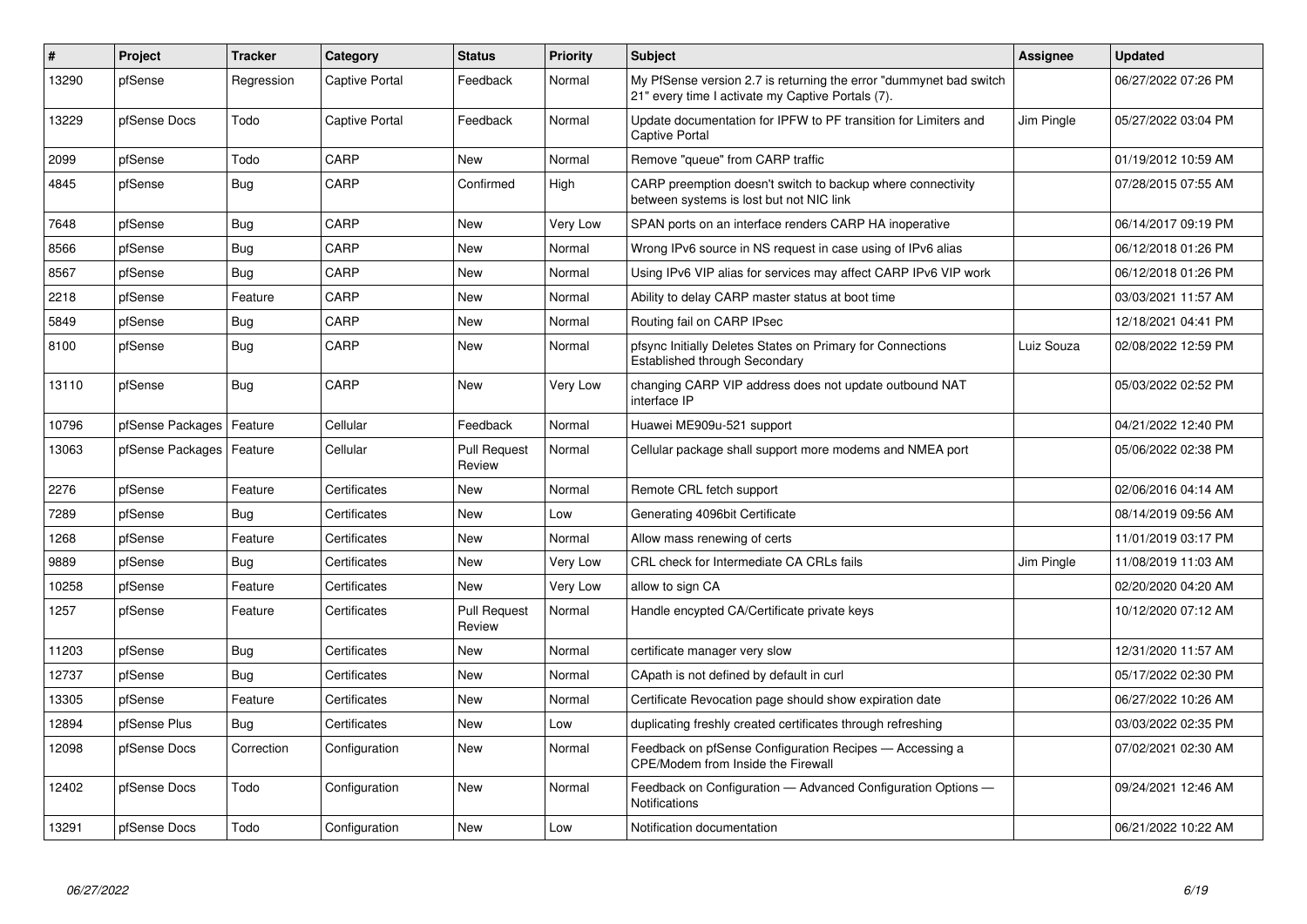| $\vert$ # | Project          | <b>Tracker</b> | Category       | <b>Status</b>                 | <b>Priority</b> | <b>Subject</b>                                                                                                          | <b>Assignee</b> | <b>Updated</b>      |
|-----------|------------------|----------------|----------------|-------------------------------|-----------------|-------------------------------------------------------------------------------------------------------------------------|-----------------|---------------------|
| 13290     | pfSense          | Regression     | Captive Portal | Feedback                      | Normal          | My PfSense version 2.7 is returning the error "dummynet bad switch<br>21" every time I activate my Captive Portals (7). |                 | 06/27/2022 07:26 PM |
| 13229     | pfSense Docs     | Todo           | Captive Portal | Feedback                      | Normal          | Update documentation for IPFW to PF transition for Limiters and<br><b>Captive Portal</b>                                | Jim Pingle      | 05/27/2022 03:04 PM |
| 2099      | pfSense          | Todo           | CARP           | <b>New</b>                    | Normal          | Remove "queue" from CARP traffic                                                                                        |                 | 01/19/2012 10:59 AM |
| 4845      | pfSense          | <b>Bug</b>     | CARP           | Confirmed                     | High            | CARP preemption doesn't switch to backup where connectivity<br>between systems is lost but not NIC link                 |                 | 07/28/2015 07:55 AM |
| 7648      | pfSense          | Bug            | CARP           | <b>New</b>                    | Very Low        | SPAN ports on an interface renders CARP HA inoperative                                                                  |                 | 06/14/2017 09:19 PM |
| 8566      | pfSense          | <b>Bug</b>     | CARP           | New                           | Normal          | Wrong IPv6 source in NS request in case using of IPv6 alias                                                             |                 | 06/12/2018 01:26 PM |
| 8567      | pfSense          | Bug            | CARP           | <b>New</b>                    | Normal          | Using IPv6 VIP alias for services may affect CARP IPv6 VIP work                                                         |                 | 06/12/2018 01:26 PM |
| 2218      | pfSense          | Feature        | CARP           | <b>New</b>                    | Normal          | Ability to delay CARP master status at boot time                                                                        |                 | 03/03/2021 11:57 AM |
| 5849      | pfSense          | Bug            | CARP           | New                           | Normal          | Routing fail on CARP IPsec                                                                                              |                 | 12/18/2021 04:41 PM |
| 8100      | pfSense          | Bug            | CARP           | New                           | Normal          | pfsync Initially Deletes States on Primary for Connections<br>Established through Secondary                             | Luiz Souza      | 02/08/2022 12:59 PM |
| 13110     | pfSense          | <b>Bug</b>     | CARP           | New                           | Very Low        | changing CARP VIP address does not update outbound NAT<br>interface IP                                                  |                 | 05/03/2022 02:52 PM |
| 10796     | pfSense Packages | Feature        | Cellular       | Feedback                      | Normal          | Huawei ME909u-521 support                                                                                               |                 | 04/21/2022 12:40 PM |
| 13063     | pfSense Packages | Feature        | Cellular       | <b>Pull Request</b><br>Review | Normal          | Cellular package shall support more modems and NMEA port                                                                |                 | 05/06/2022 02:38 PM |
| 2276      | pfSense          | Feature        | Certificates   | New                           | Normal          | Remote CRL fetch support                                                                                                |                 | 02/06/2016 04:14 AM |
| 7289      | pfSense          | <b>Bug</b>     | Certificates   | New                           | Low             | Generating 4096bit Certificate                                                                                          |                 | 08/14/2019 09:56 AM |
| 1268      | pfSense          | Feature        | Certificates   | <b>New</b>                    | Normal          | Allow mass renewing of certs                                                                                            |                 | 11/01/2019 03:17 PM |
| 9889      | pfSense          | Bug            | Certificates   | <b>New</b>                    | Very Low        | CRL check for Intermediate CA CRLs fails                                                                                | Jim Pingle      | 11/08/2019 11:03 AM |
| 10258     | pfSense          | Feature        | Certificates   | <b>New</b>                    | Very Low        | allow to sign CA                                                                                                        |                 | 02/20/2020 04:20 AM |
| 1257      | pfSense          | Feature        | Certificates   | <b>Pull Request</b><br>Review | Normal          | Handle encypted CA/Certificate private keys                                                                             |                 | 10/12/2020 07:12 AM |
| 11203     | pfSense          | <b>Bug</b>     | Certificates   | <b>New</b>                    | Normal          | certificate manager very slow                                                                                           |                 | 12/31/2020 11:57 AM |
| 12737     | pfSense          | Bug            | Certificates   | New                           | Normal          | CApath is not defined by default in curl                                                                                |                 | 05/17/2022 02:30 PM |
| 13305     | pfSense          | Feature        | Certificates   | <b>New</b>                    | Normal          | Certificate Revocation page should show expiration date                                                                 |                 | 06/27/2022 10:26 AM |
| 12894     | pfSense Plus     | Bug            | Certificates   | New                           | Low             | duplicating freshly created certificates through refreshing                                                             |                 | 03/03/2022 02:35 PM |
| 12098     | pfSense Docs     | Correction     | Configuration  | New                           | Normal          | Feedback on pfSense Configuration Recipes - Accessing a<br>CPE/Modem from Inside the Firewall                           |                 | 07/02/2021 02:30 AM |
| 12402     | pfSense Docs     | Todo           | Configuration  | New                           | Normal          | Feedback on Configuration - Advanced Configuration Options -<br>Notifications                                           |                 | 09/24/2021 12:46 AM |
| 13291     | pfSense Docs     | Todo           | Configuration  | <b>New</b>                    | Low             | Notification documentation                                                                                              |                 | 06/21/2022 10:22 AM |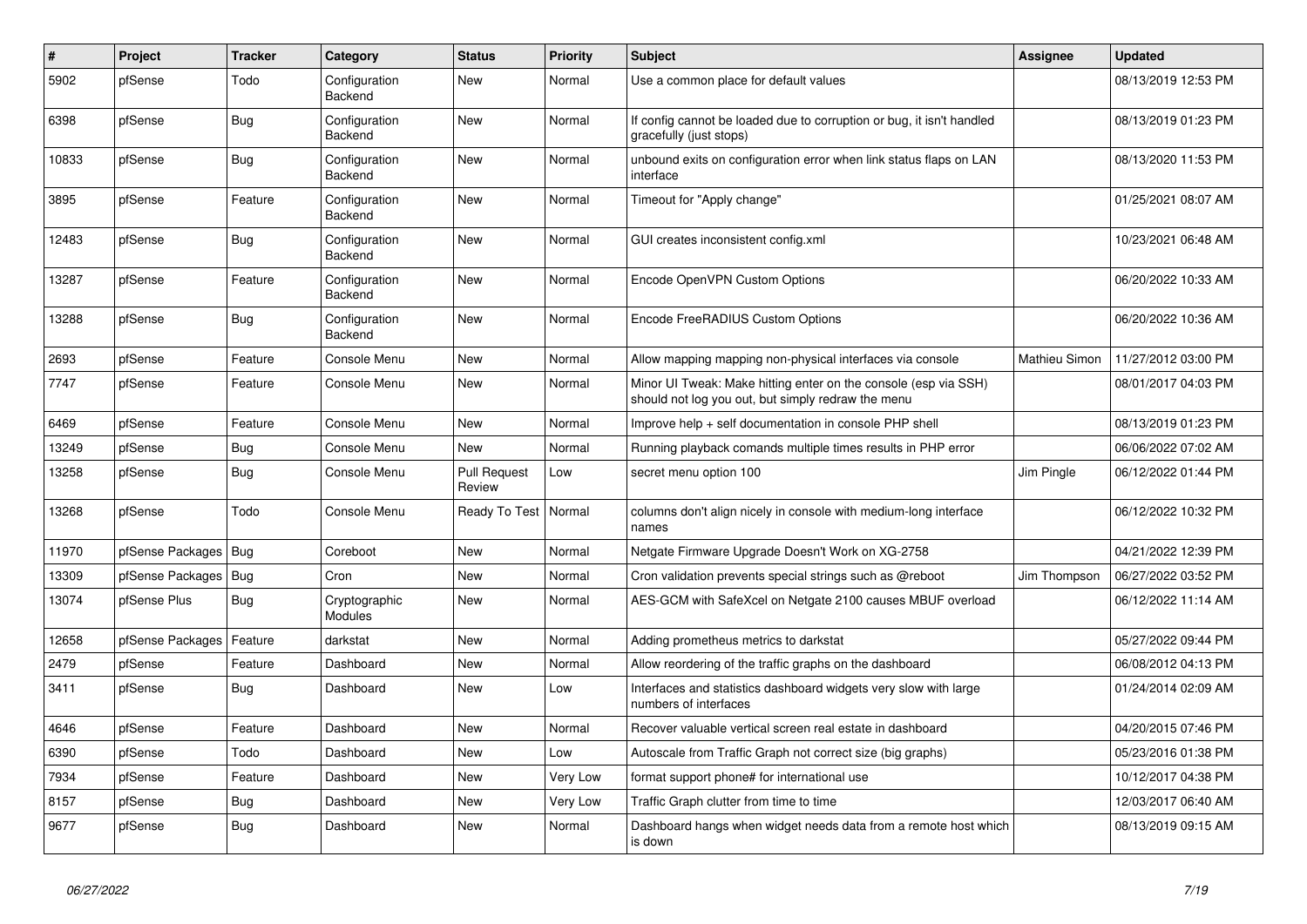| $\vert$ # | Project          | <b>Tracker</b> | Category                 | <b>Status</b>                 | <b>Priority</b> | <b>Subject</b>                                                                                                        | <b>Assignee</b> | <b>Updated</b>      |
|-----------|------------------|----------------|--------------------------|-------------------------------|-----------------|-----------------------------------------------------------------------------------------------------------------------|-----------------|---------------------|
| 5902      | pfSense          | Todo           | Configuration<br>Backend | <b>New</b>                    | Normal          | Use a common place for default values                                                                                 |                 | 08/13/2019 12:53 PM |
| 6398      | pfSense          | <b>Bug</b>     | Configuration<br>Backend | New                           | Normal          | If config cannot be loaded due to corruption or bug, it isn't handled<br>gracefully (just stops)                      |                 | 08/13/2019 01:23 PM |
| 10833     | pfSense          | <b>Bug</b>     | Configuration<br>Backend | <b>New</b>                    | Normal          | unbound exits on configuration error when link status flaps on LAN<br>interface                                       |                 | 08/13/2020 11:53 PM |
| 3895      | pfSense          | Feature        | Configuration<br>Backend | <b>New</b>                    | Normal          | Timeout for "Apply change"                                                                                            |                 | 01/25/2021 08:07 AM |
| 12483     | pfSense          | <b>Bug</b>     | Configuration<br>Backend | New                           | Normal          | GUI creates inconsistent config.xml                                                                                   |                 | 10/23/2021 06:48 AM |
| 13287     | pfSense          | Feature        | Configuration<br>Backend | New                           | Normal          | Encode OpenVPN Custom Options                                                                                         |                 | 06/20/2022 10:33 AM |
| 13288     | pfSense          | <b>Bug</b>     | Configuration<br>Backend | <b>New</b>                    | Normal          | Encode FreeRADIUS Custom Options                                                                                      |                 | 06/20/2022 10:36 AM |
| 2693      | pfSense          | Feature        | Console Menu             | <b>New</b>                    | Normal          | Allow mapping mapping non-physical interfaces via console                                                             | Mathieu Simon   | 11/27/2012 03:00 PM |
| 7747      | pfSense          | Feature        | Console Menu             | <b>New</b>                    | Normal          | Minor UI Tweak: Make hitting enter on the console (esp via SSH)<br>should not log you out, but simply redraw the menu |                 | 08/01/2017 04:03 PM |
| 6469      | pfSense          | Feature        | Console Menu             | New                           | Normal          | Improve help + self documentation in console PHP shell                                                                |                 | 08/13/2019 01:23 PM |
| 13249     | pfSense          | Bug            | Console Menu             | <b>New</b>                    | Normal          | Running playback comands multiple times results in PHP error                                                          |                 | 06/06/2022 07:02 AM |
| 13258     | pfSense          | <b>Bug</b>     | Console Menu             | <b>Pull Request</b><br>Review | Low             | secret menu option 100                                                                                                | Jim Pingle      | 06/12/2022 01:44 PM |
| 13268     | pfSense          | Todo           | Console Menu             | Ready To Test                 | Normal          | columns don't align nicely in console with medium-long interface<br>names                                             |                 | 06/12/2022 10:32 PM |
| 11970     | pfSense Packages | Bug            | Coreboot                 | <b>New</b>                    | Normal          | Netgate Firmware Upgrade Doesn't Work on XG-2758                                                                      |                 | 04/21/2022 12:39 PM |
| 13309     | pfSense Packages | <b>Bug</b>     | Cron                     | <b>New</b>                    | Normal          | Cron validation prevents special strings such as @reboot                                                              | Jim Thompson    | 06/27/2022 03:52 PM |
| 13074     | pfSense Plus     | Bug            | Cryptographic<br>Modules | <b>New</b>                    | Normal          | AES-GCM with SafeXcel on Netgate 2100 causes MBUF overload                                                            |                 | 06/12/2022 11:14 AM |
| 12658     | pfSense Packages | Feature        | darkstat                 | New                           | Normal          | Adding prometheus metrics to darkstat                                                                                 |                 | 05/27/2022 09:44 PM |
| 2479      | pfSense          | Feature        | Dashboard                | <b>New</b>                    | Normal          | Allow reordering of the traffic graphs on the dashboard                                                               |                 | 06/08/2012 04:13 PM |
| 3411      | pfSense          | Bug            | Dashboard                | <b>New</b>                    | Low             | Interfaces and statistics dashboard widgets very slow with large<br>numbers of interfaces                             |                 | 01/24/2014 02:09 AM |
| 4646      | pfSense          | Feature        | Dashboard                | New                           | Normal          | Recover valuable vertical screen real estate in dashboard                                                             |                 | 04/20/2015 07:46 PM |
| 6390      | pfSense          | Todo           | Dashboard                | <b>New</b>                    | Low             | Autoscale from Traffic Graph not correct size (big graphs)                                                            |                 | 05/23/2016 01:38 PM |
| 7934      | pfSense          | Feature        | Dashboard                | <b>New</b>                    | Very Low        | format support phone# for international use                                                                           |                 | 10/12/2017 04:38 PM |
| 8157      | pfSense          | Bug            | Dashboard                | <b>New</b>                    | <b>Very Low</b> | Traffic Graph clutter from time to time                                                                               |                 | 12/03/2017 06:40 AM |
| 9677      | pfSense          | <b>Bug</b>     | Dashboard                | <b>New</b>                    | Normal          | Dashboard hangs when widget needs data from a remote host which<br>is down                                            |                 | 08/13/2019 09:15 AM |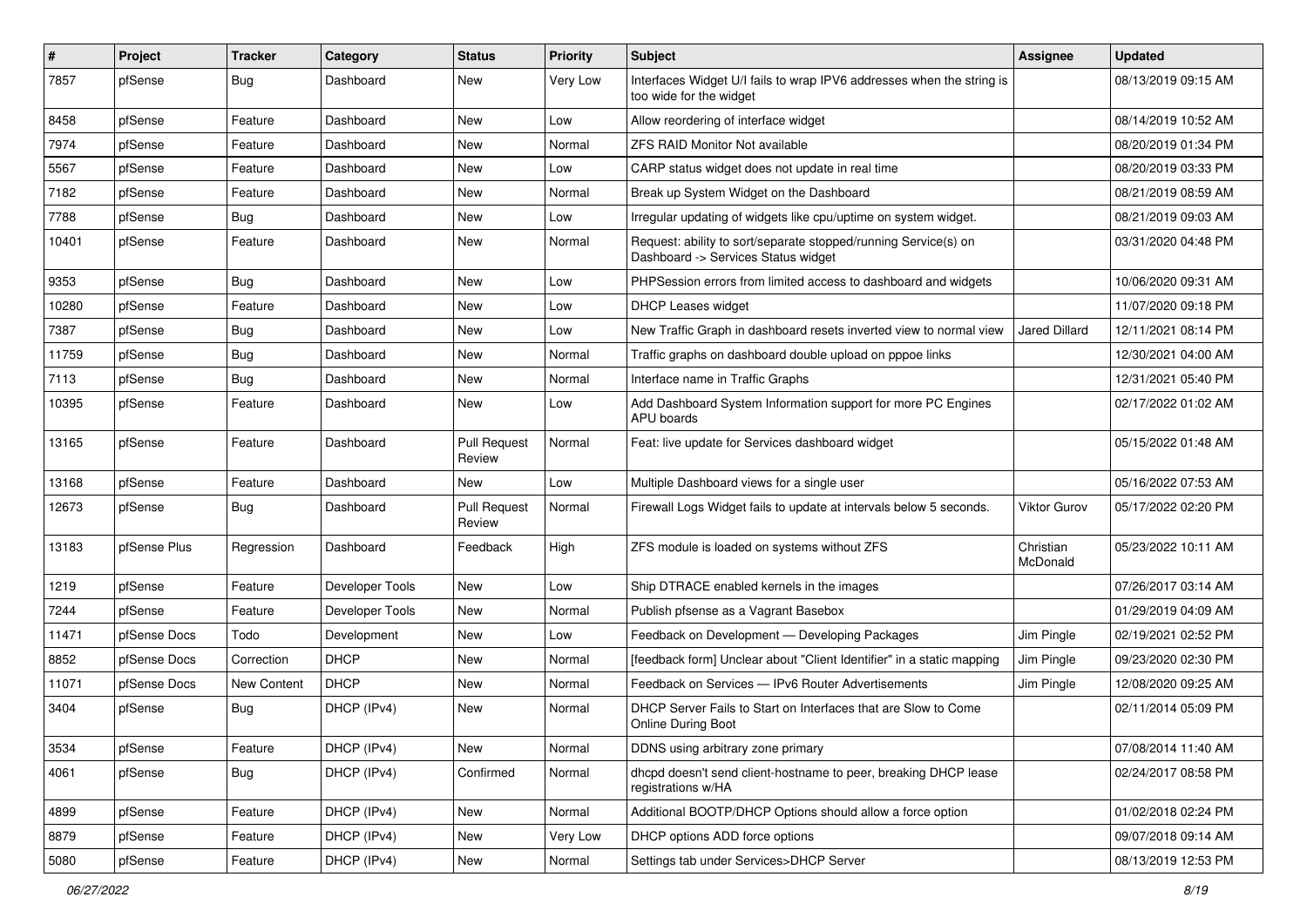| $\pmb{\#}$ | Project      | <b>Tracker</b> | Category        | <b>Status</b>                 | <b>Priority</b> | <b>Subject</b>                                                                                         | Assignee              | <b>Updated</b>      |
|------------|--------------|----------------|-----------------|-------------------------------|-----------------|--------------------------------------------------------------------------------------------------------|-----------------------|---------------------|
| 7857       | pfSense      | Bug            | Dashboard       | New                           | Very Low        | Interfaces Widget U/I fails to wrap IPV6 addresses when the string is<br>too wide for the widget       |                       | 08/13/2019 09:15 AM |
| 8458       | pfSense      | Feature        | Dashboard       | New                           | Low             | Allow reordering of interface widget                                                                   |                       | 08/14/2019 10:52 AM |
| 7974       | pfSense      | Feature        | Dashboard       | New                           | Normal          | ZFS RAID Monitor Not available                                                                         |                       | 08/20/2019 01:34 PM |
| 5567       | pfSense      | Feature        | Dashboard       | <b>New</b>                    | Low             | CARP status widget does not update in real time                                                        |                       | 08/20/2019 03:33 PM |
| 7182       | pfSense      | Feature        | Dashboard       | New                           | Normal          | Break up System Widget on the Dashboard                                                                |                       | 08/21/2019 08:59 AM |
| 7788       | pfSense      | Bug            | Dashboard       | <b>New</b>                    | Low             | Irregular updating of widgets like cpu/uptime on system widget.                                        |                       | 08/21/2019 09:03 AM |
| 10401      | pfSense      | Feature        | Dashboard       | <b>New</b>                    | Normal          | Request: ability to sort/separate stopped/running Service(s) on<br>Dashboard -> Services Status widget |                       | 03/31/2020 04:48 PM |
| 9353       | pfSense      | Bug            | Dashboard       | <b>New</b>                    | Low             | PHPSession errors from limited access to dashboard and widgets                                         |                       | 10/06/2020 09:31 AM |
| 10280      | pfSense      | Feature        | Dashboard       | New                           | Low             | <b>DHCP Leases widget</b>                                                                              |                       | 11/07/2020 09:18 PM |
| 7387       | pfSense      | Bug            | Dashboard       | <b>New</b>                    | Low             | New Traffic Graph in dashboard resets inverted view to normal view                                     | <b>Jared Dillard</b>  | 12/11/2021 08:14 PM |
| 11759      | pfSense      | Bug            | Dashboard       | <b>New</b>                    | Normal          | Traffic graphs on dashboard double upload on pppoe links                                               |                       | 12/30/2021 04:00 AM |
| 7113       | pfSense      | Bug            | Dashboard       | <b>New</b>                    | Normal          | Interface name in Traffic Graphs                                                                       |                       | 12/31/2021 05:40 PM |
| 10395      | pfSense      | Feature        | Dashboard       | <b>New</b>                    | Low             | Add Dashboard System Information support for more PC Engines<br>APU boards                             |                       | 02/17/2022 01:02 AM |
| 13165      | pfSense      | Feature        | Dashboard       | <b>Pull Request</b><br>Review | Normal          | Feat: live update for Services dashboard widget                                                        |                       | 05/15/2022 01:48 AM |
| 13168      | pfSense      | Feature        | Dashboard       | New                           | Low             | Multiple Dashboard views for a single user                                                             |                       | 05/16/2022 07:53 AM |
| 12673      | pfSense      | Bug            | Dashboard       | <b>Pull Request</b><br>Review | Normal          | Firewall Logs Widget fails to update at intervals below 5 seconds.                                     | Viktor Gurov          | 05/17/2022 02:20 PM |
| 13183      | pfSense Plus | Regression     | Dashboard       | Feedback                      | High            | ZFS module is loaded on systems without ZFS                                                            | Christian<br>McDonald | 05/23/2022 10:11 AM |
| 1219       | pfSense      | Feature        | Developer Tools | <b>New</b>                    | Low             | Ship DTRACE enabled kernels in the images                                                              |                       | 07/26/2017 03:14 AM |
| 7244       | pfSense      | Feature        | Developer Tools | <b>New</b>                    | Normal          | Publish pfsense as a Vagrant Basebox                                                                   |                       | 01/29/2019 04:09 AM |
| 11471      | pfSense Docs | Todo           | Development     | <b>New</b>                    | Low             | Feedback on Development - Developing Packages                                                          | Jim Pingle            | 02/19/2021 02:52 PM |
| 8852       | pfSense Docs | Correction     | <b>DHCP</b>     | New                           | Normal          | [feedback form] Unclear about "Client Identifier" in a static mapping                                  | Jim Pingle            | 09/23/2020 02:30 PM |
| 11071      | pfSense Docs | New Content    | <b>DHCP</b>     | New                           | Normal          | Feedback on Services - IPv6 Router Advertisements                                                      | Jim Pingle            | 12/08/2020 09:25 AM |
| 3404       | pfSense      | Bug            | DHCP (IPv4)     | <b>New</b>                    | Normal          | DHCP Server Fails to Start on Interfaces that are Slow to Come<br><b>Online During Boot</b>            |                       | 02/11/2014 05:09 PM |
| 3534       | pfSense      | Feature        | DHCP (IPv4)     | New                           | Normal          | DDNS using arbitrary zone primary                                                                      |                       | 07/08/2014 11:40 AM |
| 4061       | pfSense      | <b>Bug</b>     | DHCP (IPv4)     | Confirmed                     | Normal          | dhcpd doesn't send client-hostname to peer, breaking DHCP lease<br>registrations w/HA                  |                       | 02/24/2017 08:58 PM |
| 4899       | pfSense      | Feature        | DHCP (IPv4)     | New                           | Normal          | Additional BOOTP/DHCP Options should allow a force option                                              |                       | 01/02/2018 02:24 PM |
| 8879       | pfSense      | Feature        | DHCP (IPv4)     | New                           | Very Low        | DHCP options ADD force options                                                                         |                       | 09/07/2018 09:14 AM |
| 5080       | pfSense      | Feature        | DHCP (IPv4)     | New                           | Normal          | Settings tab under Services>DHCP Server                                                                |                       | 08/13/2019 12:53 PM |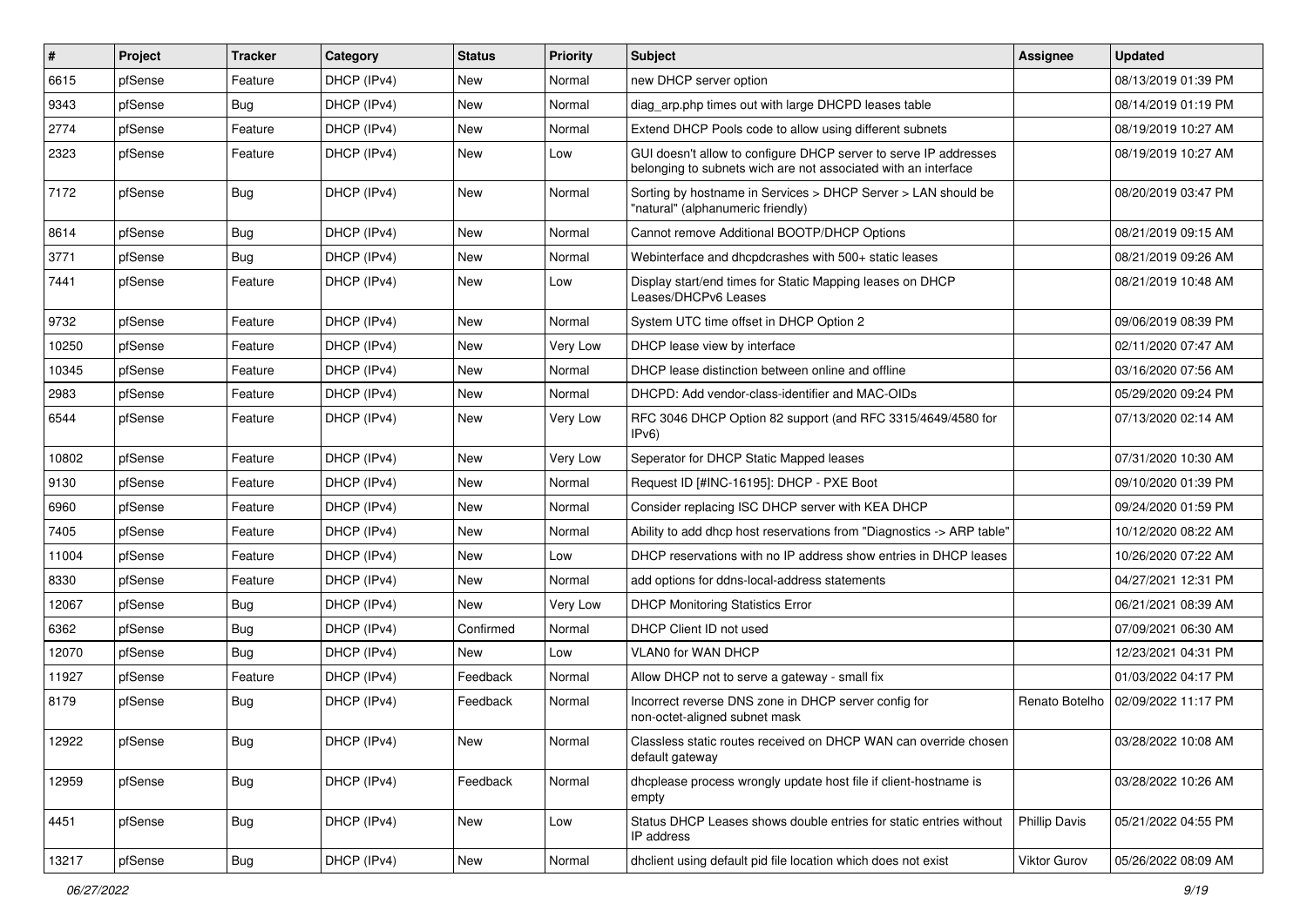| $\vert$ # | Project | <b>Tracker</b> | Category    | <b>Status</b> | <b>Priority</b> | <b>Subject</b>                                                                                                                     | Assignee             | <b>Updated</b>      |
|-----------|---------|----------------|-------------|---------------|-----------------|------------------------------------------------------------------------------------------------------------------------------------|----------------------|---------------------|
| 6615      | pfSense | Feature        | DHCP (IPv4) | New           | Normal          | new DHCP server option                                                                                                             |                      | 08/13/2019 01:39 PM |
| 9343      | pfSense | Bug            | DHCP (IPv4) | <b>New</b>    | Normal          | diag_arp.php times out with large DHCPD leases table                                                                               |                      | 08/14/2019 01:19 PM |
| 2774      | pfSense | Feature        | DHCP (IPv4) | New           | Normal          | Extend DHCP Pools code to allow using different subnets                                                                            |                      | 08/19/2019 10:27 AM |
| 2323      | pfSense | Feature        | DHCP (IPv4) | New           | Low             | GUI doesn't allow to configure DHCP server to serve IP addresses<br>belonging to subnets wich are not associated with an interface |                      | 08/19/2019 10:27 AM |
| 7172      | pfSense | Bug            | DHCP (IPv4) | <b>New</b>    | Normal          | Sorting by hostname in Services > DHCP Server > LAN should be<br>"natural" (alphanumeric friendly)                                 |                      | 08/20/2019 03:47 PM |
| 8614      | pfSense | Bug            | DHCP (IPv4) | <b>New</b>    | Normal          | Cannot remove Additional BOOTP/DHCP Options                                                                                        |                      | 08/21/2019 09:15 AM |
| 3771      | pfSense | Bug            | DHCP (IPv4) | <b>New</b>    | Normal          | Webinterface and dhcpdcrashes with 500+ static leases                                                                              |                      | 08/21/2019 09:26 AM |
| 7441      | pfSense | Feature        | DHCP (IPv4) | <b>New</b>    | Low             | Display start/end times for Static Mapping leases on DHCP<br>Leases/DHCPv6 Leases                                                  |                      | 08/21/2019 10:48 AM |
| 9732      | pfSense | Feature        | DHCP (IPv4) | <b>New</b>    | Normal          | System UTC time offset in DHCP Option 2                                                                                            |                      | 09/06/2019 08:39 PM |
| 10250     | pfSense | Feature        | DHCP (IPv4) | <b>New</b>    | Very Low        | DHCP lease view by interface                                                                                                       |                      | 02/11/2020 07:47 AM |
| 10345     | pfSense | Feature        | DHCP (IPv4) | <b>New</b>    | Normal          | DHCP lease distinction between online and offline                                                                                  |                      | 03/16/2020 07:56 AM |
| 2983      | pfSense | Feature        | DHCP (IPv4) | New           | Normal          | DHCPD: Add vendor-class-identifier and MAC-OIDs                                                                                    |                      | 05/29/2020 09:24 PM |
| 6544      | pfSense | Feature        | DHCP (IPv4) | New           | Very Low        | RFC 3046 DHCP Option 82 support (and RFC 3315/4649/4580 for<br>IPv6                                                                |                      | 07/13/2020 02:14 AM |
| 10802     | pfSense | Feature        | DHCP (IPv4) | <b>New</b>    | Very Low        | Seperator for DHCP Static Mapped leases                                                                                            |                      | 07/31/2020 10:30 AM |
| 9130      | pfSense | Feature        | DHCP (IPv4) | New           | Normal          | Request ID [#INC-16195]: DHCP - PXE Boot                                                                                           |                      | 09/10/2020 01:39 PM |
| 6960      | pfSense | Feature        | DHCP (IPv4) | <b>New</b>    | Normal          | Consider replacing ISC DHCP server with KEA DHCP                                                                                   |                      | 09/24/2020 01:59 PM |
| 7405      | pfSense | Feature        | DHCP (IPv4) | New           | Normal          | Ability to add dhcp host reservations from "Diagnostics -> ARP table"                                                              |                      | 10/12/2020 08:22 AM |
| 11004     | pfSense | Feature        | DHCP (IPv4) | New           | Low             | DHCP reservations with no IP address show entries in DHCP leases                                                                   |                      | 10/26/2020 07:22 AM |
| 8330      | pfSense | Feature        | DHCP (IPv4) | New           | Normal          | add options for ddns-local-address statements                                                                                      |                      | 04/27/2021 12:31 PM |
| 12067     | pfSense | <b>Bug</b>     | DHCP (IPv4) | <b>New</b>    | Very Low        | <b>DHCP Monitoring Statistics Error</b>                                                                                            |                      | 06/21/2021 08:39 AM |
| 6362      | pfSense | Bug            | DHCP (IPv4) | Confirmed     | Normal          | DHCP Client ID not used                                                                                                            |                      | 07/09/2021 06:30 AM |
| 12070     | pfSense | Bug            | DHCP (IPv4) | New           | Low             | <b>VLAN0 for WAN DHCP</b>                                                                                                          |                      | 12/23/2021 04:31 PM |
| 11927     | pfSense | Feature        | DHCP (IPv4) | Feedback      | Normal          | Allow DHCP not to serve a gateway - small fix                                                                                      |                      | 01/03/2022 04:17 PM |
| 8179      | pfSense | Bug            | DHCP (IPv4) | Feedback      | Normal          | Incorrect reverse DNS zone in DHCP server config for<br>non-octet-aligned subnet mask                                              | Renato Botelho       | 02/09/2022 11:17 PM |
| 12922     | pfSense | Bug            | DHCP (IPv4) | New           | Normal          | Classless static routes received on DHCP WAN can override chosen<br>default gateway                                                |                      | 03/28/2022 10:08 AM |
| 12959     | pfSense | Bug            | DHCP (IPv4) | Feedback      | Normal          | dhcplease process wrongly update host file if client-hostname is<br>empty                                                          |                      | 03/28/2022 10:26 AM |
| 4451      | pfSense | Bug            | DHCP (IPv4) | New           | Low             | Status DHCP Leases shows double entries for static entries without<br>IP address                                                   | <b>Phillip Davis</b> | 05/21/2022 04:55 PM |
| 13217     | pfSense | Bug            | DHCP (IPv4) | New           | Normal          | dhclient using default pid file location which does not exist                                                                      | Viktor Gurov         | 05/26/2022 08:09 AM |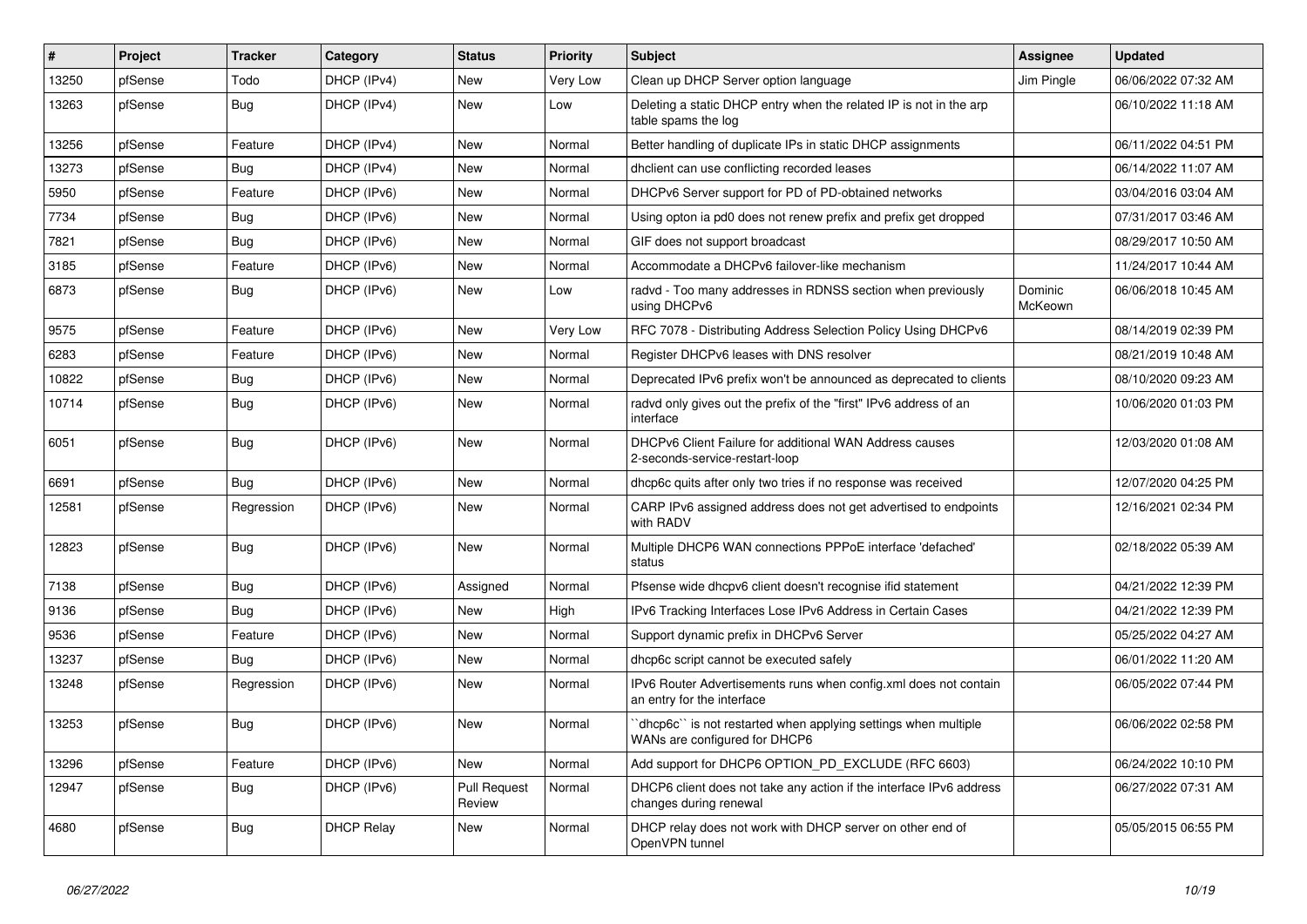| $\vert$ # | Project | <b>Tracker</b> | Category          | <b>Status</b>                 | <b>Priority</b> | <b>Subject</b>                                                                                 | Assignee           | <b>Updated</b>      |
|-----------|---------|----------------|-------------------|-------------------------------|-----------------|------------------------------------------------------------------------------------------------|--------------------|---------------------|
| 13250     | pfSense | Todo           | DHCP (IPv4)       | New                           | Very Low        | Clean up DHCP Server option language                                                           | Jim Pingle         | 06/06/2022 07:32 AM |
| 13263     | pfSense | Bug            | DHCP (IPv4)       | New                           | Low             | Deleting a static DHCP entry when the related IP is not in the arp<br>table spams the log      |                    | 06/10/2022 11:18 AM |
| 13256     | pfSense | Feature        | DHCP (IPv4)       | <b>New</b>                    | Normal          | Better handling of duplicate IPs in static DHCP assignments                                    |                    | 06/11/2022 04:51 PM |
| 13273     | pfSense | Bug            | DHCP (IPv4)       | New                           | Normal          | dholient can use conflicting recorded leases                                                   |                    | 06/14/2022 11:07 AM |
| 5950      | pfSense | Feature        | DHCP (IPv6)       | <b>New</b>                    | Normal          | DHCPv6 Server support for PD of PD-obtained networks                                           |                    | 03/04/2016 03:04 AM |
| 7734      | pfSense | Bug            | DHCP (IPv6)       | New                           | Normal          | Using opton ia pd0 does not renew prefix and prefix get dropped                                |                    | 07/31/2017 03:46 AM |
| 7821      | pfSense | Bug            | DHCP (IPv6)       | <b>New</b>                    | Normal          | GIF does not support broadcast                                                                 |                    | 08/29/2017 10:50 AM |
| 3185      | pfSense | Feature        | DHCP (IPv6)       | New                           | Normal          | Accommodate a DHCPv6 failover-like mechanism                                                   |                    | 11/24/2017 10:44 AM |
| 6873      | pfSense | Bug            | DHCP (IPv6)       | <b>New</b>                    | Low             | radvd - Too many addresses in RDNSS section when previously<br>using DHCPv6                    | Dominic<br>McKeown | 06/06/2018 10:45 AM |
| 9575      | pfSense | Feature        | DHCP (IPv6)       | New                           | Very Low        | RFC 7078 - Distributing Address Selection Policy Using DHCPv6                                  |                    | 08/14/2019 02:39 PM |
| 6283      | pfSense | Feature        | DHCP (IPv6)       | <b>New</b>                    | Normal          | Register DHCPv6 leases with DNS resolver                                                       |                    | 08/21/2019 10:48 AM |
| 10822     | pfSense | Bug            | DHCP (IPv6)       | <b>New</b>                    | Normal          | Deprecated IPv6 prefix won't be announced as deprecated to clients                             |                    | 08/10/2020 09:23 AM |
| 10714     | pfSense | <b>Bug</b>     | DHCP (IPv6)       | New                           | Normal          | radvd only gives out the prefix of the "first" IPv6 address of an<br>interface                 |                    | 10/06/2020 01:03 PM |
| 6051      | pfSense | <b>Bug</b>     | DHCP (IPv6)       | <b>New</b>                    | Normal          | DHCPv6 Client Failure for additional WAN Address causes<br>2-seconds-service-restart-loop      |                    | 12/03/2020 01:08 AM |
| 6691      | pfSense | <b>Bug</b>     | DHCP (IPv6)       | <b>New</b>                    | Normal          | dhcp6c quits after only two tries if no response was received                                  |                    | 12/07/2020 04:25 PM |
| 12581     | pfSense | Regression     | DHCP (IPv6)       | <b>New</b>                    | Normal          | CARP IPv6 assigned address does not get advertised to endpoints<br>with RADV                   |                    | 12/16/2021 02:34 PM |
| 12823     | pfSense | <b>Bug</b>     | DHCP (IPv6)       | <b>New</b>                    | Normal          | Multiple DHCP6 WAN connections PPPoE interface 'defached'<br>status                            |                    | 02/18/2022 05:39 AM |
| 7138      | pfSense | Bug            | DHCP (IPv6)       | Assigned                      | Normal          | Pfsense wide dhcpv6 client doesn't recognise if id statement                                   |                    | 04/21/2022 12:39 PM |
| 9136      | pfSense | Bug            | DHCP (IPv6)       | New                           | High            | IPv6 Tracking Interfaces Lose IPv6 Address in Certain Cases                                    |                    | 04/21/2022 12:39 PM |
| 9536      | pfSense | Feature        | DHCP (IPv6)       | New                           | Normal          | Support dynamic prefix in DHCPv6 Server                                                        |                    | 05/25/2022 04:27 AM |
| 13237     | pfSense | Bug            | DHCP (IPv6)       | New                           | Normal          | dhcp6c script cannot be executed safely                                                        |                    | 06/01/2022 11:20 AM |
| 13248     | pfSense | Regression     | DHCP (IPv6)       | New                           | Normal          | IPv6 Router Advertisements runs when config.xml does not contain<br>an entry for the interface |                    | 06/05/2022 07:44 PM |
| 13253     | pfSense | Bug            | DHCP (IPv6)       | <b>New</b>                    | Normal          | dhcp6c" is not restarted when applying settings when multiple<br>WANs are configured for DHCP6 |                    | 06/06/2022 02:58 PM |
| 13296     | pfSense | Feature        | DHCP (IPv6)       | <b>New</b>                    | Normal          | Add support for DHCP6 OPTION_PD_EXCLUDE (RFC 6603)                                             |                    | 06/24/2022 10:10 PM |
| 12947     | pfSense | Bug            | DHCP (IPv6)       | <b>Pull Request</b><br>Review | Normal          | DHCP6 client does not take any action if the interface IPv6 address<br>changes during renewal  |                    | 06/27/2022 07:31 AM |
| 4680      | pfSense | <b>Bug</b>     | <b>DHCP Relay</b> | New                           | Normal          | DHCP relay does not work with DHCP server on other end of<br>OpenVPN tunnel                    |                    | 05/05/2015 06:55 PM |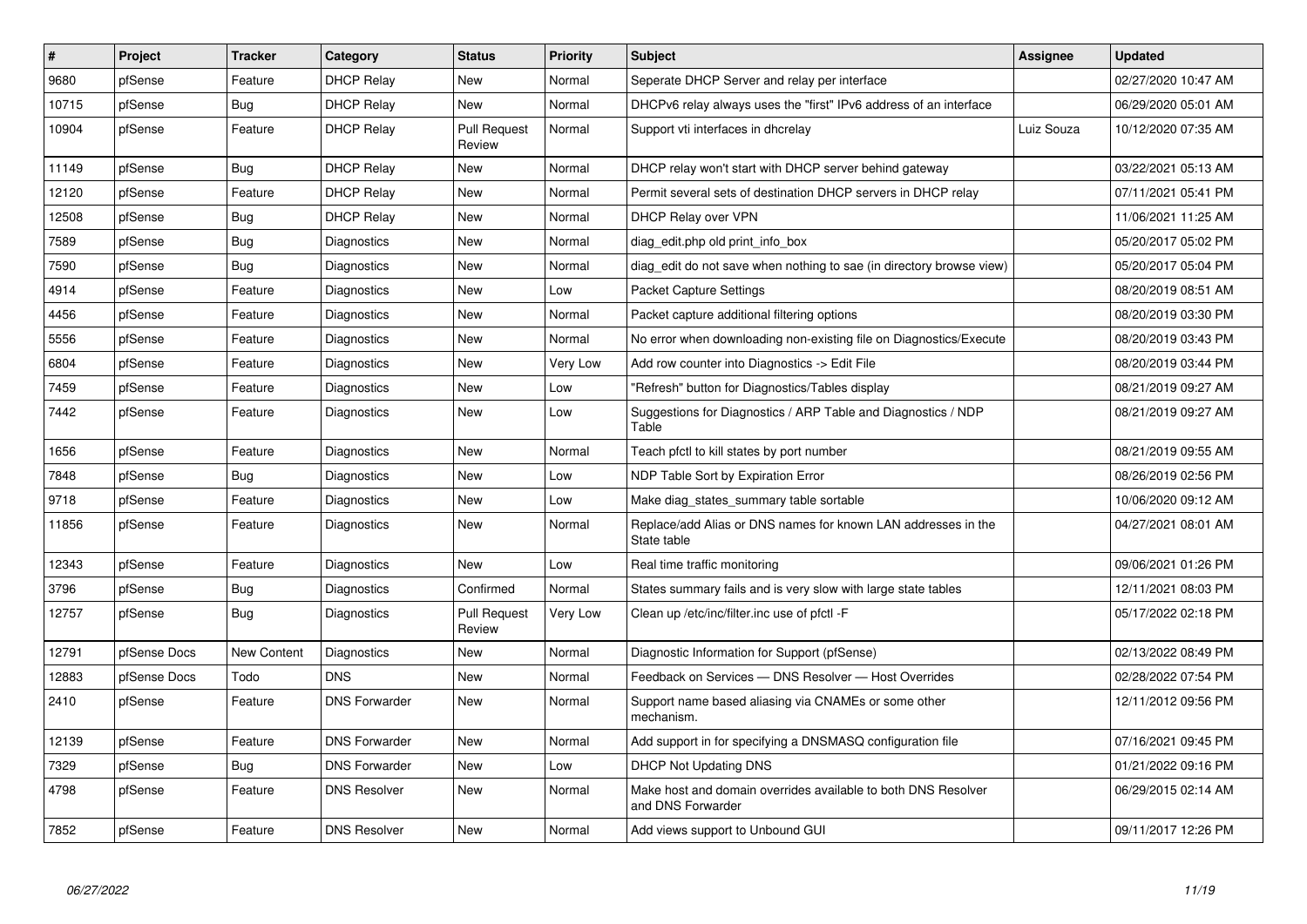| $\vert$ # | Project      | <b>Tracker</b>     | Category             | <b>Status</b>                 | <b>Priority</b> | <b>Subject</b>                                                                     | Assignee   | <b>Updated</b>      |
|-----------|--------------|--------------------|----------------------|-------------------------------|-----------------|------------------------------------------------------------------------------------|------------|---------------------|
| 9680      | pfSense      | Feature            | <b>DHCP Relay</b>    | New                           | Normal          | Seperate DHCP Server and relay per interface                                       |            | 02/27/2020 10:47 AM |
| 10715     | pfSense      | Bug                | <b>DHCP Relay</b>    | New                           | Normal          | DHCPv6 relay always uses the "first" IPv6 address of an interface                  |            | 06/29/2020 05:01 AM |
| 10904     | pfSense      | Feature            | <b>DHCP Relay</b>    | <b>Pull Request</b><br>Review | Normal          | Support vti interfaces in dhcrelay                                                 | Luiz Souza | 10/12/2020 07:35 AM |
| 11149     | pfSense      | <b>Bug</b>         | <b>DHCP Relay</b>    | <b>New</b>                    | Normal          | DHCP relay won't start with DHCP server behind gateway                             |            | 03/22/2021 05:13 AM |
| 12120     | pfSense      | Feature            | DHCP Relay           | <b>New</b>                    | Normal          | Permit several sets of destination DHCP servers in DHCP relay                      |            | 07/11/2021 05:41 PM |
| 12508     | pfSense      | Bug                | <b>DHCP Relay</b>    | New                           | Normal          | <b>DHCP Relay over VPN</b>                                                         |            | 11/06/2021 11:25 AM |
| 7589      | pfSense      | Bug                | Diagnostics          | New                           | Normal          | diag edit.php old print info box                                                   |            | 05/20/2017 05:02 PM |
| 7590      | pfSense      | Bug                | Diagnostics          | New                           | Normal          | diag edit do not save when nothing to sae (in directory browse view)               |            | 05/20/2017 05:04 PM |
| 4914      | pfSense      | Feature            | Diagnostics          | <b>New</b>                    | Low             | <b>Packet Capture Settings</b>                                                     |            | 08/20/2019 08:51 AM |
| 4456      | pfSense      | Feature            | Diagnostics          | <b>New</b>                    | Normal          | Packet capture additional filtering options                                        |            | 08/20/2019 03:30 PM |
| 5556      | pfSense      | Feature            | Diagnostics          | <b>New</b>                    | Normal          | No error when downloading non-existing file on Diagnostics/Execute                 |            | 08/20/2019 03:43 PM |
| 6804      | pfSense      | Feature            | Diagnostics          | <b>New</b>                    | Very Low        | Add row counter into Diagnostics -> Edit File                                      |            | 08/20/2019 03:44 PM |
| 7459      | pfSense      | Feature            | Diagnostics          | New                           | Low             | "Refresh" button for Diagnostics/Tables display                                    |            | 08/21/2019 09:27 AM |
| 7442      | pfSense      | Feature            | Diagnostics          | New                           | Low             | Suggestions for Diagnostics / ARP Table and Diagnostics / NDP<br>Table             |            | 08/21/2019 09:27 AM |
| 1656      | pfSense      | Feature            | Diagnostics          | <b>New</b>                    | Normal          | Teach pfctl to kill states by port number                                          |            | 08/21/2019 09:55 AM |
| 7848      | pfSense      | Bug                | Diagnostics          | New                           | Low             | NDP Table Sort by Expiration Error                                                 |            | 08/26/2019 02:56 PM |
| 9718      | pfSense      | Feature            | Diagnostics          | New                           | Low             | Make diag_states_summary table sortable                                            |            | 10/06/2020 09:12 AM |
| 11856     | pfSense      | Feature            | Diagnostics          | New                           | Normal          | Replace/add Alias or DNS names for known LAN addresses in the<br>State table       |            | 04/27/2021 08:01 AM |
| 12343     | pfSense      | Feature            | Diagnostics          | <b>New</b>                    | Low             | Real time traffic monitoring                                                       |            | 09/06/2021 01:26 PM |
| 3796      | pfSense      | Bug                | Diagnostics          | Confirmed                     | Normal          | States summary fails and is very slow with large state tables                      |            | 12/11/2021 08:03 PM |
| 12757     | pfSense      | Bug                | Diagnostics          | <b>Pull Request</b><br>Review | Very Low        | Clean up /etc/inc/filter.inc use of pfctl -F                                       |            | 05/17/2022 02:18 PM |
| 12791     | pfSense Docs | <b>New Content</b> | Diagnostics          | <b>New</b>                    | Normal          | Diagnostic Information for Support (pfSense)                                       |            | 02/13/2022 08:49 PM |
| 12883     | pfSense Docs | Todo               | <b>DNS</b>           | <b>New</b>                    | Normal          | Feedback on Services - DNS Resolver - Host Overrides                               |            | 02/28/2022 07:54 PM |
| 2410      | pfSense      | Feature            | <b>DNS Forwarder</b> | New                           | Normal          | Support name based aliasing via CNAMEs or some other<br>mechanism.                 |            | 12/11/2012 09:56 PM |
| 12139     | pfSense      | Feature            | <b>DNS Forwarder</b> | New                           | Normal          | Add support in for specifying a DNSMASQ configuration file                         |            | 07/16/2021 09:45 PM |
| 7329      | pfSense      | Bug                | <b>DNS Forwarder</b> | New                           | Low             | <b>DHCP Not Updating DNS</b>                                                       |            | 01/21/2022 09:16 PM |
| 4798      | pfSense      | Feature            | <b>DNS Resolver</b>  | New                           | Normal          | Make host and domain overrides available to both DNS Resolver<br>and DNS Forwarder |            | 06/29/2015 02:14 AM |
| 7852      | pfSense      | Feature            | <b>DNS Resolver</b>  | New                           | Normal          | Add views support to Unbound GUI                                                   |            | 09/11/2017 12:26 PM |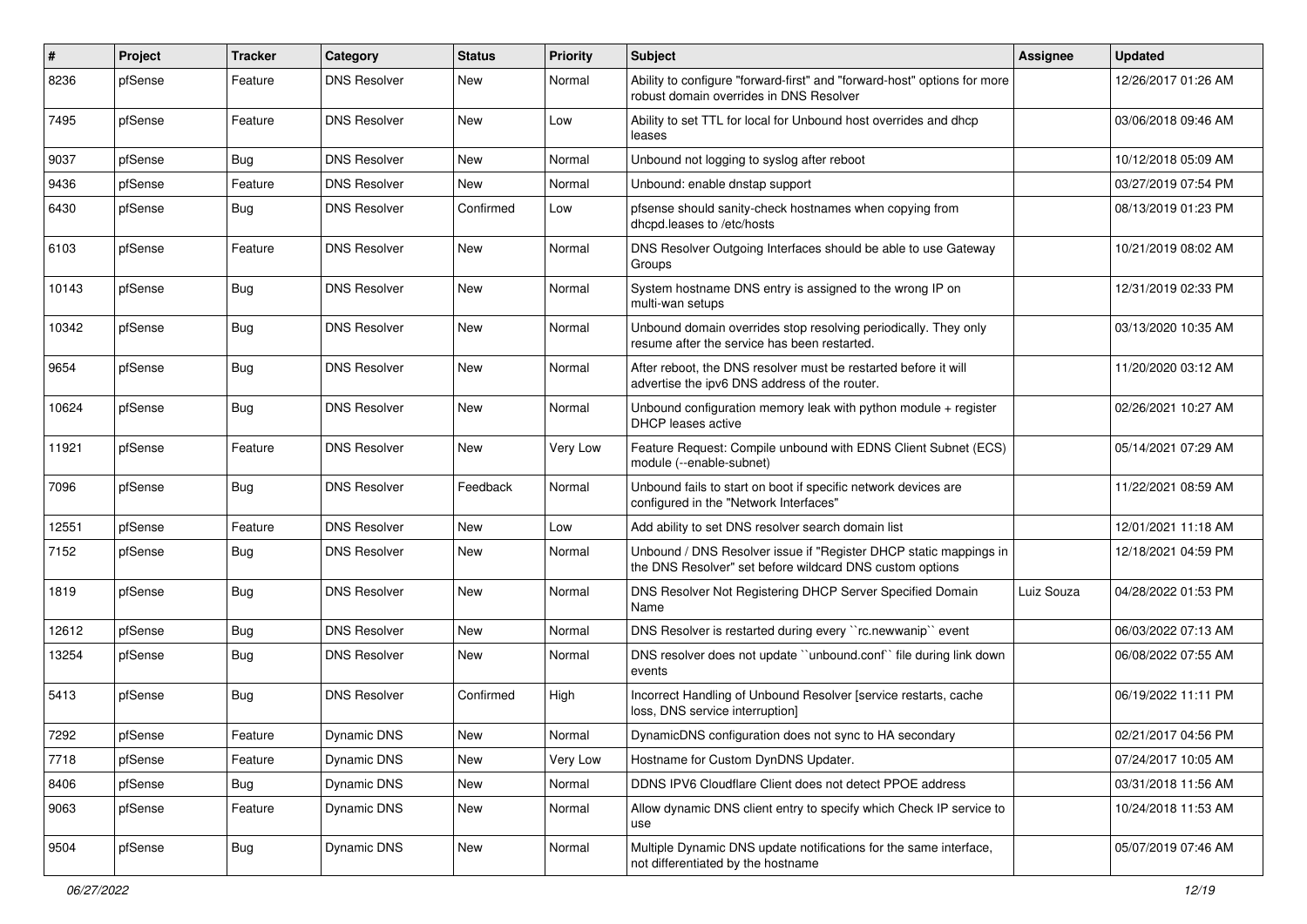| $\vert$ # | Project | Tracker    | Category            | <b>Status</b> | <b>Priority</b> | Subject                                                                                                                       | <b>Assignee</b> | <b>Updated</b>      |
|-----------|---------|------------|---------------------|---------------|-----------------|-------------------------------------------------------------------------------------------------------------------------------|-----------------|---------------------|
| 8236      | pfSense | Feature    | <b>DNS Resolver</b> | New           | Normal          | Ability to configure "forward-first" and "forward-host" options for more<br>robust domain overrides in DNS Resolver           |                 | 12/26/2017 01:26 AM |
| 7495      | pfSense | Feature    | <b>DNS Resolver</b> | <b>New</b>    | Low             | Ability to set TTL for local for Unbound host overrides and dhcp<br>leases                                                    |                 | 03/06/2018 09:46 AM |
| 9037      | pfSense | <b>Bug</b> | <b>DNS Resolver</b> | <b>New</b>    | Normal          | Unbound not logging to syslog after reboot                                                                                    |                 | 10/12/2018 05:09 AM |
| 9436      | pfSense | Feature    | <b>DNS Resolver</b> | <b>New</b>    | Normal          | Unbound: enable dnstap support                                                                                                |                 | 03/27/2019 07:54 PM |
| 6430      | pfSense | Bug        | <b>DNS Resolver</b> | Confirmed     | Low             | pfsense should sanity-check hostnames when copying from<br>dhcpd.leases to /etc/hosts                                         |                 | 08/13/2019 01:23 PM |
| 6103      | pfSense | Feature    | <b>DNS Resolver</b> | New           | Normal          | DNS Resolver Outgoing Interfaces should be able to use Gateway<br>Groups                                                      |                 | 10/21/2019 08:02 AM |
| 10143     | pfSense | <b>Bug</b> | <b>DNS Resolver</b> | New           | Normal          | System hostname DNS entry is assigned to the wrong IP on<br>multi-wan setups                                                  |                 | 12/31/2019 02:33 PM |
| 10342     | pfSense | <b>Bug</b> | <b>DNS Resolver</b> | New           | Normal          | Unbound domain overrides stop resolving periodically. They only<br>resume after the service has been restarted.               |                 | 03/13/2020 10:35 AM |
| 9654      | pfSense | Bug        | <b>DNS Resolver</b> | <b>New</b>    | Normal          | After reboot, the DNS resolver must be restarted before it will<br>advertise the ipv6 DNS address of the router.              |                 | 11/20/2020 03:12 AM |
| 10624     | pfSense | Bug        | DNS Resolver        | <b>New</b>    | Normal          | Unbound configuration memory leak with python module + register<br>DHCP leases active                                         |                 | 02/26/2021 10:27 AM |
| 11921     | pfSense | Feature    | <b>DNS Resolver</b> | <b>New</b>    | Very Low        | Feature Request: Compile unbound with EDNS Client Subnet (ECS)<br>module (--enable-subnet)                                    |                 | 05/14/2021 07:29 AM |
| 7096      | pfSense | Bug        | <b>DNS Resolver</b> | Feedback      | Normal          | Unbound fails to start on boot if specific network devices are<br>configured in the "Network Interfaces"                      |                 | 11/22/2021 08:59 AM |
| 12551     | pfSense | Feature    | <b>DNS Resolver</b> | <b>New</b>    | Low             | Add ability to set DNS resolver search domain list                                                                            |                 | 12/01/2021 11:18 AM |
| 7152      | pfSense | <b>Bug</b> | <b>DNS Resolver</b> | New           | Normal          | Unbound / DNS Resolver issue if "Register DHCP static mappings in<br>the DNS Resolver" set before wildcard DNS custom options |                 | 12/18/2021 04:59 PM |
| 1819      | pfSense | Bug        | <b>DNS Resolver</b> | <b>New</b>    | Normal          | DNS Resolver Not Registering DHCP Server Specified Domain<br>Name                                                             | Luiz Souza      | 04/28/2022 01:53 PM |
| 12612     | pfSense | Bug        | <b>DNS Resolver</b> | New           | Normal          | DNS Resolver is restarted during every "rc.newwanip" event                                                                    |                 | 06/03/2022 07:13 AM |
| 13254     | pfSense | Bug        | <b>DNS Resolver</b> | New           | Normal          | DNS resolver does not update "unbound.conf" file during link down<br>events                                                   |                 | 06/08/2022 07:55 AM |
| 5413      | pfSense | Bug        | <b>DNS Resolver</b> | Confirmed     | High            | Incorrect Handling of Unbound Resolver [service restarts, cache<br>loss, DNS service interruption]                            |                 | 06/19/2022 11:11 PM |
| 7292      | pfSense | Feature    | Dynamic DNS         | New           | Normal          | DynamicDNS configuration does not sync to HA secondary                                                                        |                 | 02/21/2017 04:56 PM |
| 7718      | pfSense | Feature    | Dynamic DNS         | New           | Very Low        | Hostname for Custom DynDNS Updater.                                                                                           |                 | 07/24/2017 10:05 AM |
| 8406      | pfSense | <b>Bug</b> | Dynamic DNS         | New           | Normal          | DDNS IPV6 Cloudflare Client does not detect PPOE address                                                                      |                 | 03/31/2018 11:56 AM |
| 9063      | pfSense | Feature    | <b>Dynamic DNS</b>  | New           | Normal          | Allow dynamic DNS client entry to specify which Check IP service to<br>use                                                    |                 | 10/24/2018 11:53 AM |
| 9504      | pfSense | <b>Bug</b> | Dynamic DNS         | New           | Normal          | Multiple Dynamic DNS update notifications for the same interface,<br>not differentiated by the hostname                       |                 | 05/07/2019 07:46 AM |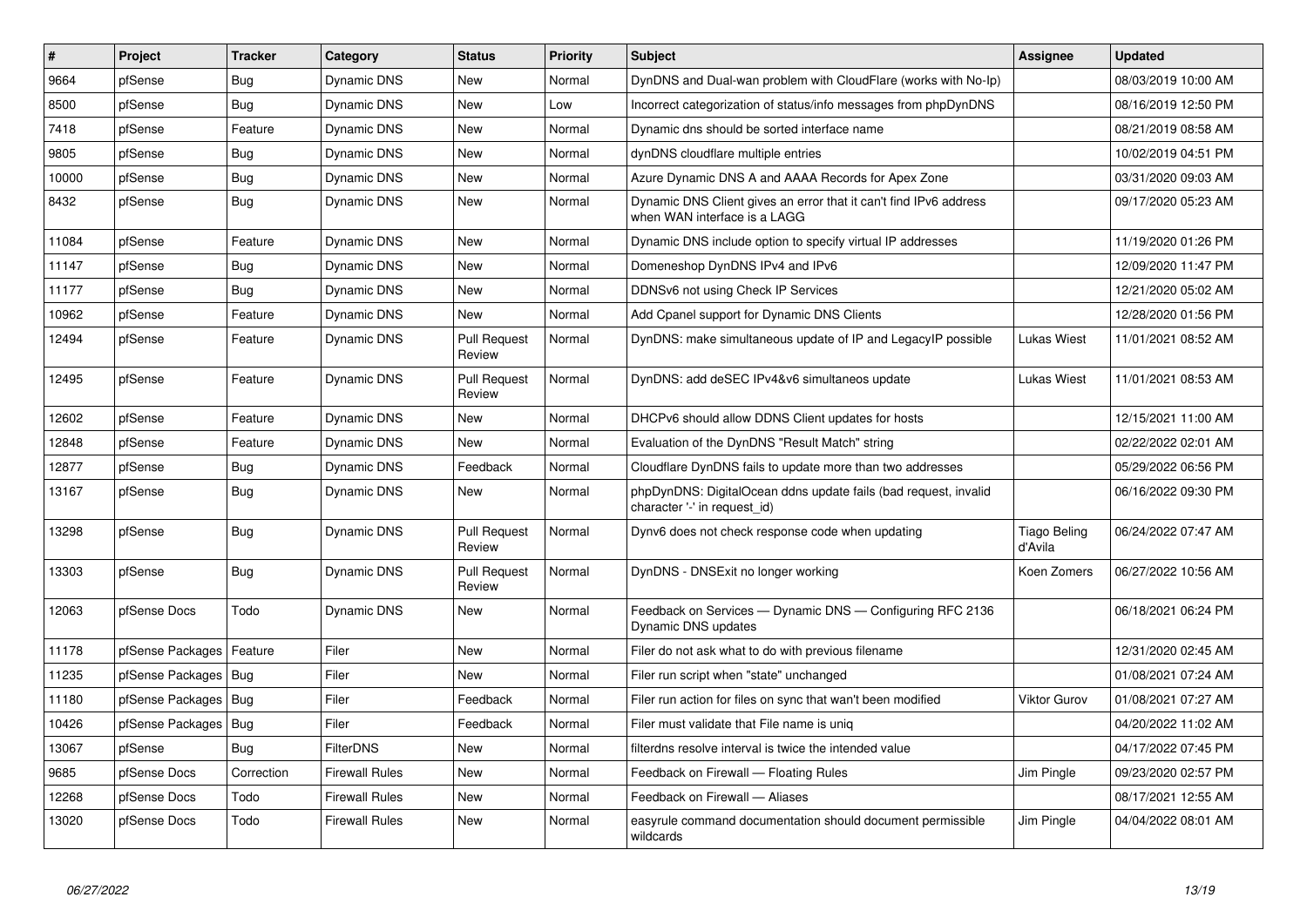| #     | Project                | <b>Tracker</b> | Category              | <b>Status</b>                 | <b>Priority</b> | <b>Subject</b>                                                                                    | <b>Assignee</b>                | <b>Updated</b>      |
|-------|------------------------|----------------|-----------------------|-------------------------------|-----------------|---------------------------------------------------------------------------------------------------|--------------------------------|---------------------|
| 9664  | pfSense                | Bug            | Dynamic DNS           | <b>New</b>                    | Normal          | DynDNS and Dual-wan problem with CloudFlare (works with No-Ip)                                    |                                | 08/03/2019 10:00 AM |
| 8500  | pfSense                | <b>Bug</b>     | <b>Dynamic DNS</b>    | <b>New</b>                    | Low             | Incorrect categorization of status/info messages from phpDynDNS                                   |                                | 08/16/2019 12:50 PM |
| 7418  | pfSense                | Feature        | <b>Dynamic DNS</b>    | <b>New</b>                    | Normal          | Dynamic dns should be sorted interface name                                                       |                                | 08/21/2019 08:58 AM |
| 9805  | pfSense                | Bug            | Dynamic DNS           | <b>New</b>                    | Normal          | dynDNS cloudflare multiple entries                                                                |                                | 10/02/2019 04:51 PM |
| 10000 | pfSense                | <b>Bug</b>     | Dynamic DNS           | <b>New</b>                    | Normal          | Azure Dynamic DNS A and AAAA Records for Apex Zone                                                |                                | 03/31/2020 09:03 AM |
| 8432  | pfSense                | Bug            | Dynamic DNS           | New                           | Normal          | Dynamic DNS Client gives an error that it can't find IPv6 address<br>when WAN interface is a LAGG |                                | 09/17/2020 05:23 AM |
| 11084 | pfSense                | Feature        | Dynamic DNS           | <b>New</b>                    | Normal          | Dynamic DNS include option to specify virtual IP addresses                                        |                                | 11/19/2020 01:26 PM |
| 11147 | pfSense                | <b>Bug</b>     | Dynamic DNS           | <b>New</b>                    | Normal          | Domeneshop DynDNS IPv4 and IPv6                                                                   |                                | 12/09/2020 11:47 PM |
| 11177 | pfSense                | Bug            | Dynamic DNS           | <b>New</b>                    | Normal          | DDNSv6 not using Check IP Services                                                                |                                | 12/21/2020 05:02 AM |
| 10962 | pfSense                | Feature        | Dynamic DNS           | <b>New</b>                    | Normal          | Add Cpanel support for Dynamic DNS Clients                                                        |                                | 12/28/2020 01:56 PM |
| 12494 | pfSense                | Feature        | Dynamic DNS           | <b>Pull Request</b><br>Review | Normal          | DynDNS: make simultaneous update of IP and LegacyIP possible                                      | Lukas Wiest                    | 11/01/2021 08:52 AM |
| 12495 | pfSense                | Feature        | Dynamic DNS           | <b>Pull Request</b><br>Review | Normal          | DynDNS: add deSEC IPv4&v6 simultaneos update                                                      | <b>Lukas Wiest</b>             | 11/01/2021 08:53 AM |
| 12602 | pfSense                | Feature        | Dynamic DNS           | New                           | Normal          | DHCPv6 should allow DDNS Client updates for hosts                                                 |                                | 12/15/2021 11:00 AM |
| 12848 | pfSense                | Feature        | Dynamic DNS           | <b>New</b>                    | Normal          | Evaluation of the DynDNS "Result Match" string                                                    |                                | 02/22/2022 02:01 AM |
| 12877 | pfSense                | Bug            | Dynamic DNS           | Feedback                      | Normal          | Cloudflare DynDNS fails to update more than two addresses                                         |                                | 05/29/2022 06:56 PM |
| 13167 | pfSense                | <b>Bug</b>     | Dynamic DNS           | <b>New</b>                    | Normal          | phpDynDNS: DigitalOcean ddns update fails (bad request, invalid<br>character '-' in request id)   |                                | 06/16/2022 09:30 PM |
| 13298 | pfSense                | Bug            | Dynamic DNS           | <b>Pull Request</b><br>Review | Normal          | Dynv6 does not check response code when updating                                                  | <b>Tiago Beling</b><br>d'Avila | 06/24/2022 07:47 AM |
| 13303 | pfSense                | Bug            | Dynamic DNS           | <b>Pull Request</b><br>Review | Normal          | DynDNS - DNSExit no longer working                                                                | Koen Zomers                    | 06/27/2022 10:56 AM |
| 12063 | pfSense Docs           | Todo           | Dynamic DNS           | New                           | Normal          | Feedback on Services - Dynamic DNS - Configuring RFC 2136<br>Dynamic DNS updates                  |                                | 06/18/2021 06:24 PM |
| 11178 | pfSense Packages       | Feature        | Filer                 | <b>New</b>                    | Normal          | Filer do not ask what to do with previous filename                                                |                                | 12/31/2020 02:45 AM |
| 11235 | pfSense Packages   Bug |                | Filer                 | <b>New</b>                    | Normal          | Filer run script when "state" unchanged                                                           |                                | 01/08/2021 07:24 AM |
| 11180 | pfSense Packages   Bug |                | Filer                 | Feedback                      | Normal          | Filer run action for files on sync that wan't been modified                                       | <b>Viktor Gurov</b>            | 01/08/2021 07:27 AM |
| 10426 | pfSense Packages       | Bua            | Filer                 | Feedback                      | Normal          | Filer must validate that File name is unig                                                        |                                | 04/20/2022 11:02 AM |
| 13067 | pfSense                | Bug            | <b>FilterDNS</b>      | <b>New</b>                    | Normal          | filterdns resolve interval is twice the intended value                                            |                                | 04/17/2022 07:45 PM |
| 9685  | pfSense Docs           | Correction     | <b>Firewall Rules</b> | New                           | Normal          | Feedback on Firewall - Floating Rules                                                             | Jim Pingle                     | 09/23/2020 02:57 PM |
| 12268 | pfSense Docs           | Todo           | Firewall Rules        | <b>New</b>                    | Normal          | Feedback on Firewall - Aliases                                                                    |                                | 08/17/2021 12:55 AM |
| 13020 | pfSense Docs           | Todo           | Firewall Rules        | <b>New</b>                    | Normal          | easyrule command documentation should document permissible<br>wildcards                           | Jim Pingle                     | 04/04/2022 08:01 AM |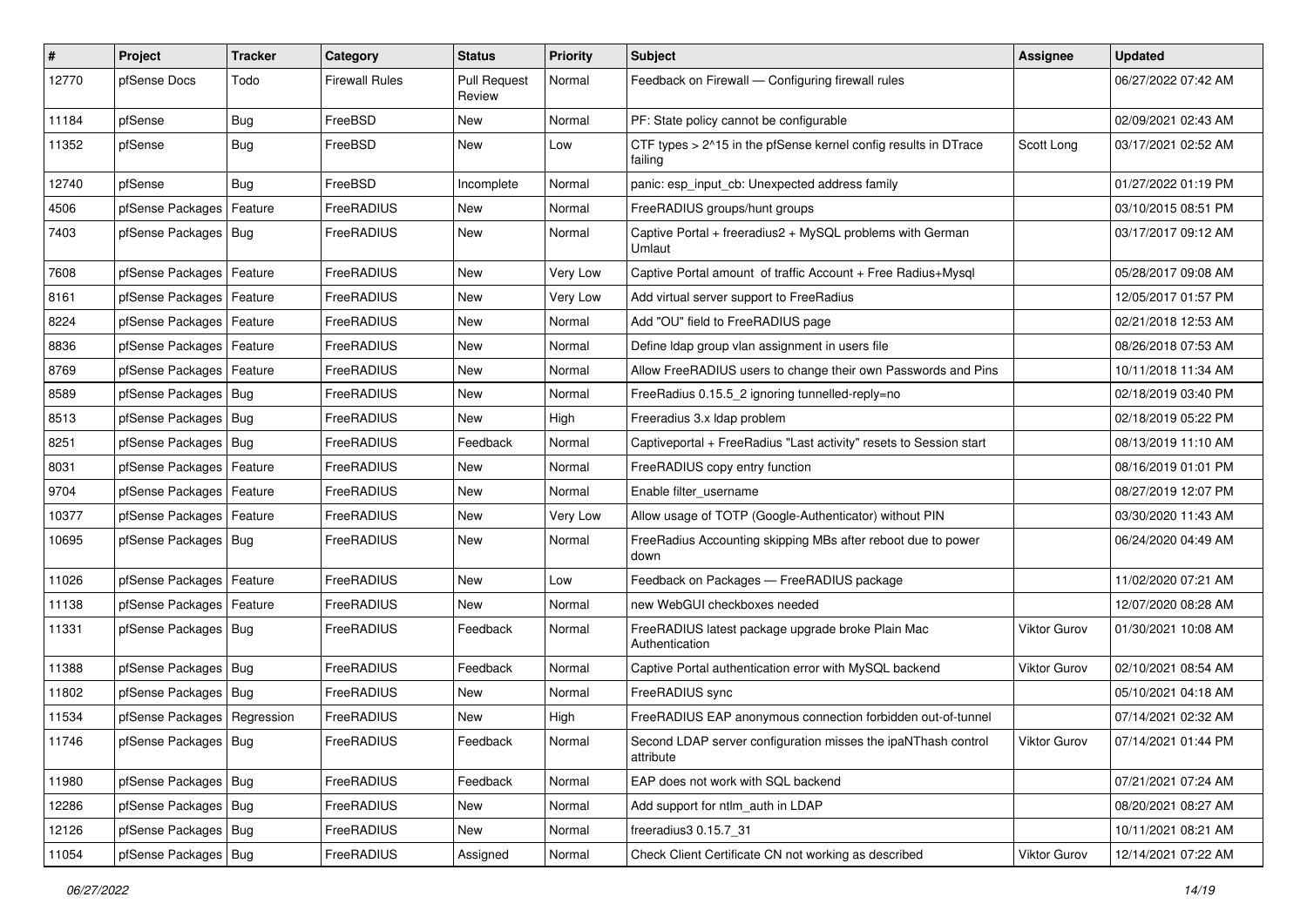| #     | Project                       | <b>Tracker</b> | Category              | <b>Status</b>                 | <b>Priority</b> | <b>Subject</b>                                                             | Assignee            | <b>Updated</b>      |
|-------|-------------------------------|----------------|-----------------------|-------------------------------|-----------------|----------------------------------------------------------------------------|---------------------|---------------------|
| 12770 | pfSense Docs                  | Todo           | <b>Firewall Rules</b> | <b>Pull Request</b><br>Review | Normal          | Feedback on Firewall - Configuring firewall rules                          |                     | 06/27/2022 07:42 AM |
| 11184 | pfSense                       | Bug            | FreeBSD               | New                           | Normal          | PF: State policy cannot be configurable                                    |                     | 02/09/2021 02:43 AM |
| 11352 | pfSense                       | <b>Bug</b>     | FreeBSD               | New                           | Low             | CTF types > 2^15 in the pfSense kernel config results in DTrace<br>failing | Scott Long          | 03/17/2021 02:52 AM |
| 12740 | pfSense                       | Bug            | FreeBSD               | Incomplete                    | Normal          | panic: esp_input_cb: Unexpected address family                             |                     | 01/27/2022 01:19 PM |
| 4506  | pfSense Packages              | Feature        | FreeRADIUS            | New                           | Normal          | FreeRADIUS groups/hunt groups                                              |                     | 03/10/2015 08:51 PM |
| 7403  | pfSense Packages   Bug        |                | FreeRADIUS            | <b>New</b>                    | Normal          | Captive Portal + freeradius2 + MySQL problems with German<br>Umlaut        |                     | 03/17/2017 09:12 AM |
| 7608  | pfSense Packages              | Feature        | FreeRADIUS            | New                           | Very Low        | Captive Portal amount of traffic Account + Free Radius+Mysql               |                     | 05/28/2017 09:08 AM |
| 8161  | pfSense Packages   Feature    |                | FreeRADIUS            | New                           | Very Low        | Add virtual server support to FreeRadius                                   |                     | 12/05/2017 01:57 PM |
| 8224  | pfSense Packages   Feature    |                | FreeRADIUS            | New                           | Normal          | Add "OU" field to FreeRADIUS page                                          |                     | 02/21/2018 12:53 AM |
| 8836  | pfSense Packages   Feature    |                | FreeRADIUS            | New                           | Normal          | Define Idap group vlan assignment in users file                            |                     | 08/26/2018 07:53 AM |
| 8769  | pfSense Packages   Feature    |                | FreeRADIUS            | New                           | Normal          | Allow FreeRADIUS users to change their own Passwords and Pins              |                     | 10/11/2018 11:34 AM |
| 8589  | pfSense Packages   Bug        |                | FreeRADIUS            | New                           | Normal          | FreeRadius 0.15.5 2 ignoring tunnelled-reply=no                            |                     | 02/18/2019 03:40 PM |
| 8513  | pfSense Packages   Bug        |                | FreeRADIUS            | New                           | High            | Freeradius 3.x Idap problem                                                |                     | 02/18/2019 05:22 PM |
| 8251  | pfSense Packages   Bug        |                | FreeRADIUS            | Feedback                      | Normal          | Captiveportal + FreeRadius "Last activity" resets to Session start         |                     | 08/13/2019 11:10 AM |
| 8031  | pfSense Packages              | Feature        | FreeRADIUS            | New                           | Normal          | FreeRADIUS copy entry function                                             |                     | 08/16/2019 01:01 PM |
| 9704  | pfSense Packages              | Feature        | FreeRADIUS            | New                           | Normal          | Enable filter username                                                     |                     | 08/27/2019 12:07 PM |
| 10377 | pfSense Packages   Feature    |                | FreeRADIUS            | New                           | Very Low        | Allow usage of TOTP (Google-Authenticator) without PIN                     |                     | 03/30/2020 11:43 AM |
| 10695 | pfSense Packages   Bug        |                | FreeRADIUS            | New                           | Normal          | FreeRadius Accounting skipping MBs after reboot due to power<br>down       |                     | 06/24/2020 04:49 AM |
| 11026 | pfSense Packages              | Feature        | FreeRADIUS            | New                           | Low             | Feedback on Packages - FreeRADIUS package                                  |                     | 11/02/2020 07:21 AM |
| 11138 | pfSense Packages              | Feature        | FreeRADIUS            | New                           | Normal          | new WebGUI checkboxes needed                                               |                     | 12/07/2020 08:28 AM |
| 11331 | pfSense Packages   Bug        |                | FreeRADIUS            | Feedback                      | Normal          | FreeRADIUS latest package upgrade broke Plain Mac<br>Authentication        | Viktor Gurov        | 01/30/2021 10:08 AM |
| 11388 | pfSense Packages   Bug        |                | FreeRADIUS            | Feedback                      | Normal          | Captive Portal authentication error with MySQL backend                     | <b>Viktor Gurov</b> | 02/10/2021 08:54 AM |
| 11802 | pfSense Packages   Bug        |                | FreeRADIUS            | New                           | Normal          | FreeRADIUS sync                                                            |                     | 05/10/2021 04:18 AM |
| 11534 | pfSense Packages   Regression |                | FreeRADIUS            | New                           | High            | FreeRADIUS EAP anonymous connection forbidden out-of-tunnel                |                     | 07/14/2021 02:32 AM |
| 11746 | pfSense Packages   Bug        |                | FreeRADIUS            | Feedback                      | Normal          | Second LDAP server configuration misses the ipaNThash control<br>attribute | Viktor Gurov        | 07/14/2021 01:44 PM |
| 11980 | pfSense Packages   Bug        |                | FreeRADIUS            | Feedback                      | Normal          | EAP does not work with SQL backend                                         |                     | 07/21/2021 07:24 AM |
| 12286 | pfSense Packages   Bug        |                | FreeRADIUS            | New                           | Normal          | Add support for ntlm auth in LDAP                                          |                     | 08/20/2021 08:27 AM |
| 12126 | pfSense Packages   Bug        |                | FreeRADIUS            | New                           | Normal          | freeradius3 0.15.7 31                                                      |                     | 10/11/2021 08:21 AM |
| 11054 | pfSense Packages   Bug        |                | FreeRADIUS            | Assigned                      | Normal          | Check Client Certificate CN not working as described                       | <b>Viktor Gurov</b> | 12/14/2021 07:22 AM |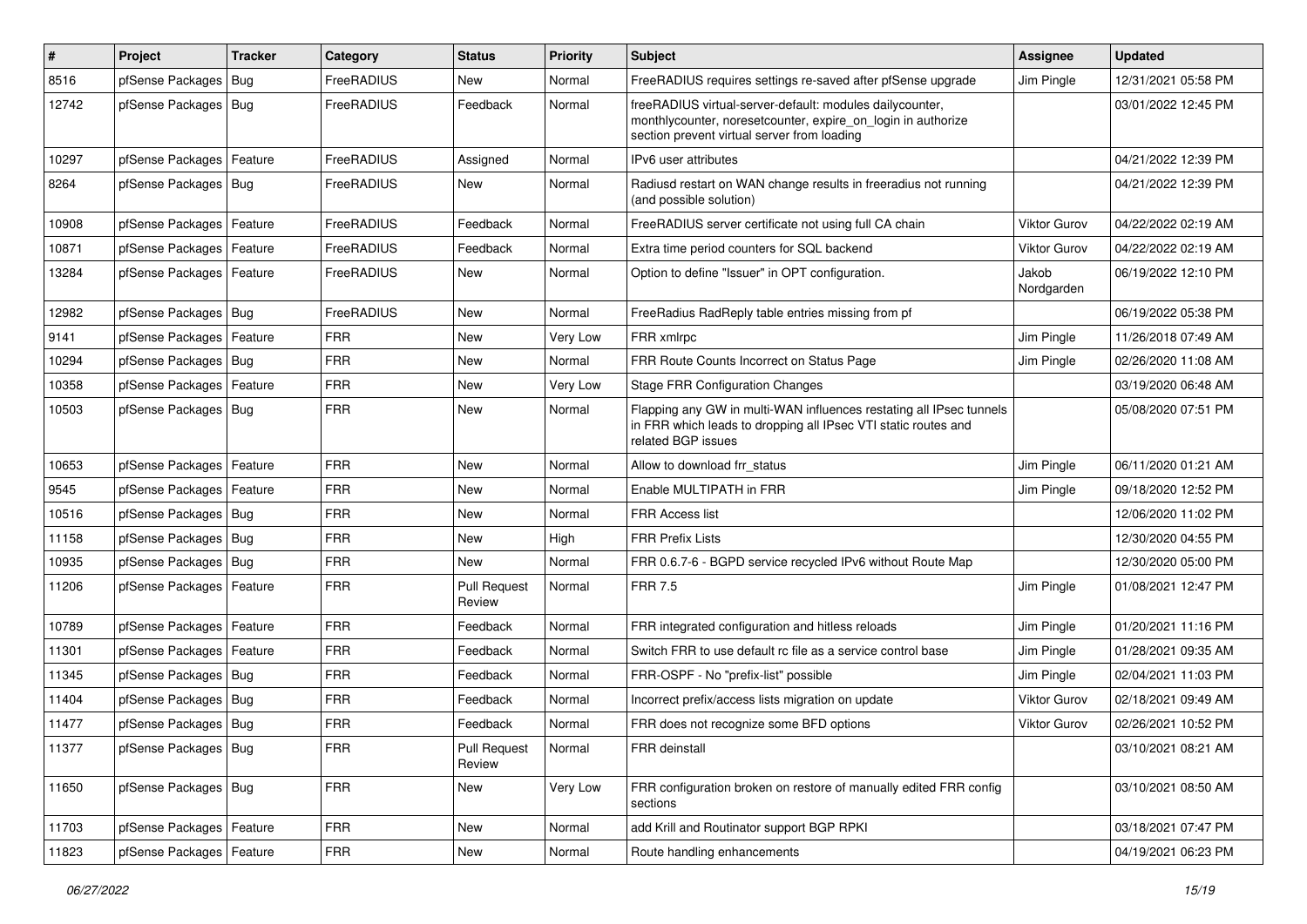| #     | Project                    | <b>Tracker</b> | Category   | <b>Status</b>                 | <b>Priority</b> | Subject                                                                                                                                                                 | <b>Assignee</b>     | <b>Updated</b>      |
|-------|----------------------------|----------------|------------|-------------------------------|-----------------|-------------------------------------------------------------------------------------------------------------------------------------------------------------------------|---------------------|---------------------|
| 8516  | pfSense Packages           | Bug            | FreeRADIUS | New                           | Normal          | FreeRADIUS requires settings re-saved after pfSense upgrade                                                                                                             | Jim Pingle          | 12/31/2021 05:58 PM |
| 12742 | pfSense Packages   Bug     |                | FreeRADIUS | Feedback                      | Normal          | freeRADIUS virtual-server-default: modules dailycounter,<br>monthlycounter, noresetcounter, expire_on_login in authorize<br>section prevent virtual server from loading |                     | 03/01/2022 12:45 PM |
| 10297 | pfSense Packages           | <b>Feature</b> | FreeRADIUS | Assigned                      | Normal          | IPv6 user attributes                                                                                                                                                    |                     | 04/21/2022 12:39 PM |
| 8264  | pfSense Packages   Bug     |                | FreeRADIUS | New                           | Normal          | Radiusd restart on WAN change results in freeradius not running<br>(and possible solution)                                                                              |                     | 04/21/2022 12:39 PM |
| 10908 | pfSense Packages           | Feature        | FreeRADIUS | Feedback                      | Normal          | FreeRADIUS server certificate not using full CA chain                                                                                                                   | Viktor Gurov        | 04/22/2022 02:19 AM |
| 10871 | pfSense Packages           | Feature        | FreeRADIUS | Feedback                      | Normal          | Extra time period counters for SQL backend                                                                                                                              | <b>Viktor Gurov</b> | 04/22/2022 02:19 AM |
| 13284 | pfSense Packages   Feature |                | FreeRADIUS | New                           | Normal          | Option to define "Issuer" in OPT configuration.                                                                                                                         | Jakob<br>Nordgarden | 06/19/2022 12:10 PM |
| 12982 | pfSense Packages   Bug     |                | FreeRADIUS | <b>New</b>                    | Normal          | FreeRadius RadReply table entries missing from pf                                                                                                                       |                     | 06/19/2022 05:38 PM |
| 9141  | pfSense Packages           | Feature        | <b>FRR</b> | <b>New</b>                    | Very Low        | FRR xmlrpc                                                                                                                                                              | Jim Pingle          | 11/26/2018 07:49 AM |
| 10294 | pfSense Packages   Bug     |                | <b>FRR</b> | New                           | Normal          | FRR Route Counts Incorrect on Status Page                                                                                                                               | Jim Pingle          | 02/26/2020 11:08 AM |
| 10358 | pfSense Packages   Feature |                | <b>FRR</b> | New                           | Very Low        | <b>Stage FRR Configuration Changes</b>                                                                                                                                  |                     | 03/19/2020 06:48 AM |
| 10503 | pfSense Packages   Bug     |                | <b>FRR</b> | New                           | Normal          | Flapping any GW in multi-WAN influences restating all IPsec tunnels<br>in FRR which leads to dropping all IPsec VTI static routes and<br>related BGP issues             |                     | 05/08/2020 07:51 PM |
| 10653 | pfSense Packages           | Feature        | <b>FRR</b> | <b>New</b>                    | Normal          | Allow to download frr status                                                                                                                                            | Jim Pingle          | 06/11/2020 01:21 AM |
| 9545  | pfSense Packages           | Feature        | <b>FRR</b> | <b>New</b>                    | Normal          | Enable MULTIPATH in FRR                                                                                                                                                 | Jim Pingle          | 09/18/2020 12:52 PM |
| 10516 | pfSense Packages   Bug     |                | <b>FRR</b> | New                           | Normal          | <b>FRR Access list</b>                                                                                                                                                  |                     | 12/06/2020 11:02 PM |
| 11158 | pfSense Packages   Bug     |                | <b>FRR</b> | New                           | High            | <b>FRR Prefix Lists</b>                                                                                                                                                 |                     | 12/30/2020 04:55 PM |
| 10935 | pfSense Packages   Bug     |                | <b>FRR</b> | <b>New</b>                    | Normal          | FRR 0.6.7-6 - BGPD service recycled IPv6 without Route Map                                                                                                              |                     | 12/30/2020 05:00 PM |
| 11206 | pfSense Packages   Feature |                | <b>FRR</b> | <b>Pull Request</b><br>Review | Normal          | <b>FRR 7.5</b>                                                                                                                                                          | Jim Pingle          | 01/08/2021 12:47 PM |
| 10789 | pfSense Packages   Feature |                | <b>FRR</b> | Feedback                      | Normal          | FRR integrated configuration and hitless reloads                                                                                                                        | Jim Pingle          | 01/20/2021 11:16 PM |
| 11301 | pfSense Packages           | Feature        | <b>FRR</b> | Feedback                      | Normal          | Switch FRR to use default rc file as a service control base                                                                                                             | Jim Pingle          | 01/28/2021 09:35 AM |
| 11345 | pfSense Packages   Bug     |                | <b>FRR</b> | Feedback                      | Normal          | FRR-OSPF - No "prefix-list" possible                                                                                                                                    | Jim Pingle          | 02/04/2021 11:03 PM |
| 11404 | pfSense Packages           | Bug            | <b>FRR</b> | Feedback                      | Normal          | Incorrect prefix/access lists migration on update                                                                                                                       | <b>Viktor Gurov</b> | 02/18/2021 09:49 AM |
| 11477 | pfSense Packages   Bug     |                | <b>FRR</b> | Feedback                      | Normal          | FRR does not recognize some BFD options                                                                                                                                 | <b>Viktor Gurov</b> | 02/26/2021 10:52 PM |
| 11377 | pfSense Packages   Bug     |                | <b>FRR</b> | <b>Pull Request</b><br>Review | Normal          | FRR deinstall                                                                                                                                                           |                     | 03/10/2021 08:21 AM |
| 11650 | pfSense Packages   Bug     |                | <b>FRR</b> | New                           | Very Low        | FRR configuration broken on restore of manually edited FRR config<br>sections                                                                                           |                     | 03/10/2021 08:50 AM |
| 11703 | pfSense Packages   Feature |                | <b>FRR</b> | <b>New</b>                    | Normal          | add Krill and Routinator support BGP RPKI                                                                                                                               |                     | 03/18/2021 07:47 PM |
| 11823 | pfSense Packages   Feature |                | <b>FRR</b> | New                           | Normal          | Route handling enhancements                                                                                                                                             |                     | 04/19/2021 06:23 PM |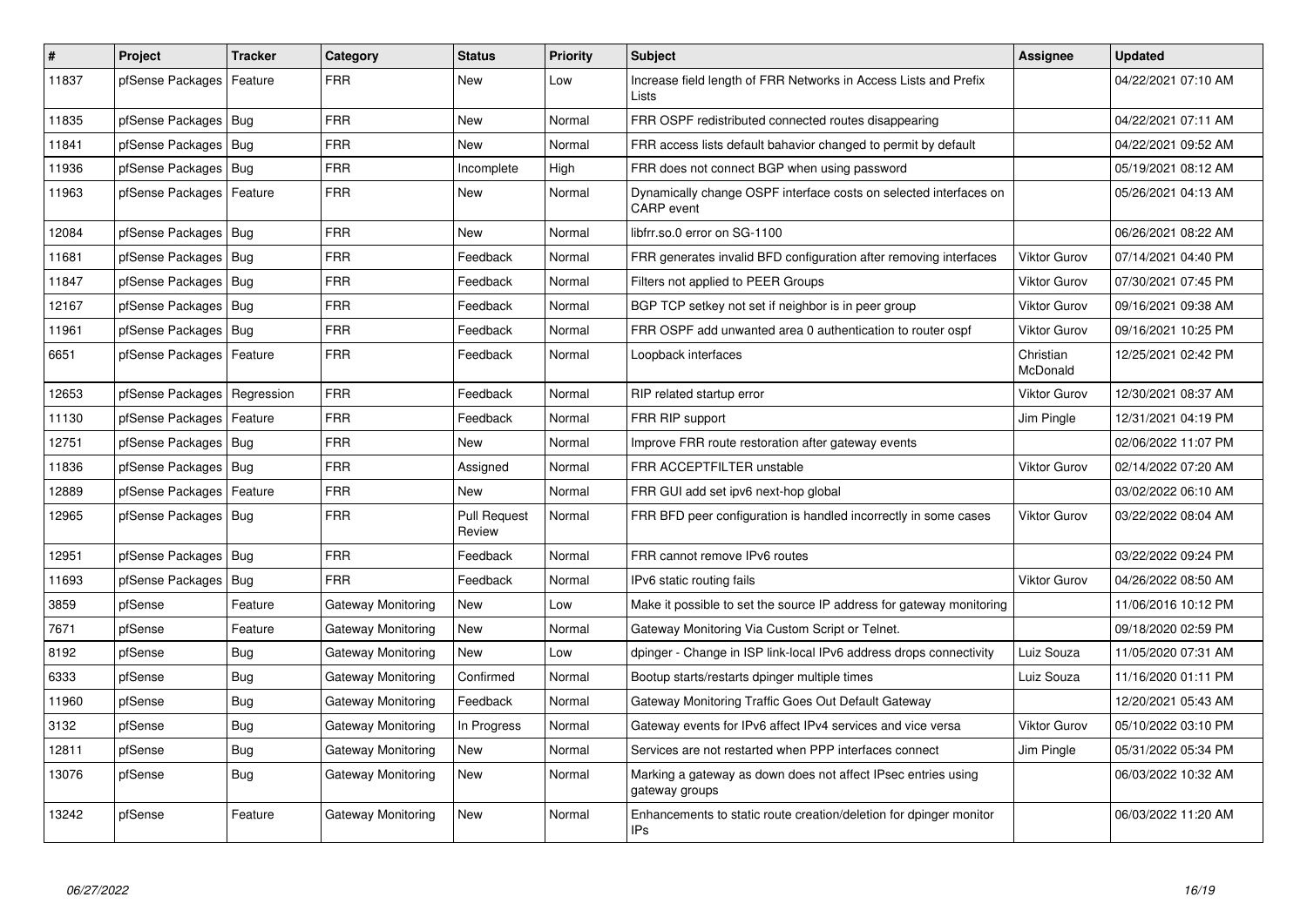| #     | Project                       | <b>Tracker</b> | Category           | <b>Status</b>                 | <b>Priority</b> | <b>Subject</b>                                                                         | Assignee              | <b>Updated</b>      |
|-------|-------------------------------|----------------|--------------------|-------------------------------|-----------------|----------------------------------------------------------------------------------------|-----------------------|---------------------|
| 11837 | pfSense Packages              | Feature        | <b>FRR</b>         | <b>New</b>                    | Low             | Increase field length of FRR Networks in Access Lists and Prefix<br>Lists              |                       | 04/22/2021 07:10 AM |
| 11835 | pfSense Packages   Bug        |                | <b>FRR</b>         | <b>New</b>                    | Normal          | FRR OSPF redistributed connected routes disappearing                                   |                       | 04/22/2021 07:11 AM |
| 11841 | pfSense Packages              | Bug            | <b>FRR</b>         | New                           | Normal          | FRR access lists default bahavior changed to permit by default                         |                       | 04/22/2021 09:52 AM |
| 11936 | pfSense Packages   Bug        |                | <b>FRR</b>         | Incomplete                    | High            | FRR does not connect BGP when using password                                           |                       | 05/19/2021 08:12 AM |
| 11963 | pfSense Packages              | Feature        | <b>FRR</b>         | New                           | Normal          | Dynamically change OSPF interface costs on selected interfaces on<br><b>CARP</b> event |                       | 05/26/2021 04:13 AM |
| 12084 | pfSense Packages   Bug        |                | <b>FRR</b>         | <b>New</b>                    | Normal          | libfrr.so.0 error on SG-1100                                                           |                       | 06/26/2021 08:22 AM |
| 11681 | pfSense Packages   Bug        |                | <b>FRR</b>         | Feedback                      | Normal          | FRR generates invalid BFD configuration after removing interfaces                      | <b>Viktor Gurov</b>   | 07/14/2021 04:40 PM |
| 11847 | pfSense Packages   Bug        |                | <b>FRR</b>         | Feedback                      | Normal          | Filters not applied to PEER Groups                                                     | <b>Viktor Gurov</b>   | 07/30/2021 07:45 PM |
| 12167 | pfSense Packages   Bug        |                | <b>FRR</b>         | Feedback                      | Normal          | BGP TCP setkey not set if neighbor is in peer group                                    | <b>Viktor Gurov</b>   | 09/16/2021 09:38 AM |
| 11961 | pfSense Packages   Bug        |                | <b>FRR</b>         | Feedback                      | Normal          | FRR OSPF add unwanted area 0 authentication to router ospf                             | <b>Viktor Gurov</b>   | 09/16/2021 10:25 PM |
| 6651  | pfSense Packages   Feature    |                | FRR                | Feedback                      | Normal          | Loopback interfaces                                                                    | Christian<br>McDonald | 12/25/2021 02:42 PM |
| 12653 | pfSense Packages   Regression |                | <b>FRR</b>         | Feedback                      | Normal          | RIP related startup error                                                              | <b>Viktor Gurov</b>   | 12/30/2021 08:37 AM |
| 11130 | pfSense Packages              | Feature        | FRR                | Feedback                      | Normal          | FRR RIP support                                                                        | Jim Pingle            | 12/31/2021 04:19 PM |
| 12751 | pfSense Packages              | Bug            | <b>FRR</b>         | <b>New</b>                    | Normal          | Improve FRR route restoration after gateway events                                     |                       | 02/06/2022 11:07 PM |
| 11836 | pfSense Packages   Bug        |                | <b>FRR</b>         | Assigned                      | Normal          | FRR ACCEPTFILTER unstable                                                              | <b>Viktor Gurov</b>   | 02/14/2022 07:20 AM |
| 12889 | pfSense Packages              | Feature        | <b>FRR</b>         | <b>New</b>                    | Normal          | FRR GUI add set ipv6 next-hop global                                                   |                       | 03/02/2022 06:10 AM |
| 12965 | pfSense Packages   Bug        |                | <b>FRR</b>         | <b>Pull Request</b><br>Review | Normal          | FRR BFD peer configuration is handled incorrectly in some cases                        | <b>Viktor Gurov</b>   | 03/22/2022 08:04 AM |
| 12951 | pfSense Packages   Bug        |                | <b>FRR</b>         | Feedback                      | Normal          | FRR cannot remove IPv6 routes                                                          |                       | 03/22/2022 09:24 PM |
| 11693 | pfSense Packages   Bug        |                | <b>FRR</b>         | Feedback                      | Normal          | IPv6 static routing fails                                                              | <b>Viktor Gurov</b>   | 04/26/2022 08:50 AM |
| 3859  | pfSense                       | Feature        | Gateway Monitoring | <b>New</b>                    | Low             | Make it possible to set the source IP address for gateway monitoring                   |                       | 11/06/2016 10:12 PM |
| 7671  | pfSense                       | Feature        | Gateway Monitoring | <b>New</b>                    | Normal          | Gateway Monitoring Via Custom Script or Telnet.                                        |                       | 09/18/2020 02:59 PM |
| 8192  | pfSense                       | Bug            | Gateway Monitoring | New                           | Low             | dpinger - Change in ISP link-local IPv6 address drops connectivity                     | Luiz Souza            | 11/05/2020 07:31 AM |
| 6333  | pfSense                       | Bug            | Gateway Monitoring | Confirmed                     | Normal          | Bootup starts/restarts dpinger multiple times                                          | Luiz Souza            | 11/16/2020 01:11 PM |
| 11960 | pfSense                       | Bug            | Gateway Monitoring | Feedback                      | Normal          | Gateway Monitoring Traffic Goes Out Default Gateway                                    |                       | 12/20/2021 05:43 AM |
| 3132  | pfSense                       | Bug            | Gateway Monitoring | In Progress                   | Normal          | Gateway events for IPv6 affect IPv4 services and vice versa                            | <b>Viktor Gurov</b>   | 05/10/2022 03:10 PM |
| 12811 | pfSense                       | <b>Bug</b>     | Gateway Monitoring | <b>New</b>                    | Normal          | Services are not restarted when PPP interfaces connect                                 | Jim Pingle            | 05/31/2022 05:34 PM |
| 13076 | pfSense                       | <b>Bug</b>     | Gateway Monitoring | New                           | Normal          | Marking a gateway as down does not affect IPsec entries using<br>gateway groups        |                       | 06/03/2022 10:32 AM |
| 13242 | pfSense                       | Feature        | Gateway Monitoring | <b>New</b>                    | Normal          | Enhancements to static route creation/deletion for dpinger monitor<br><b>IPs</b>       |                       | 06/03/2022 11:20 AM |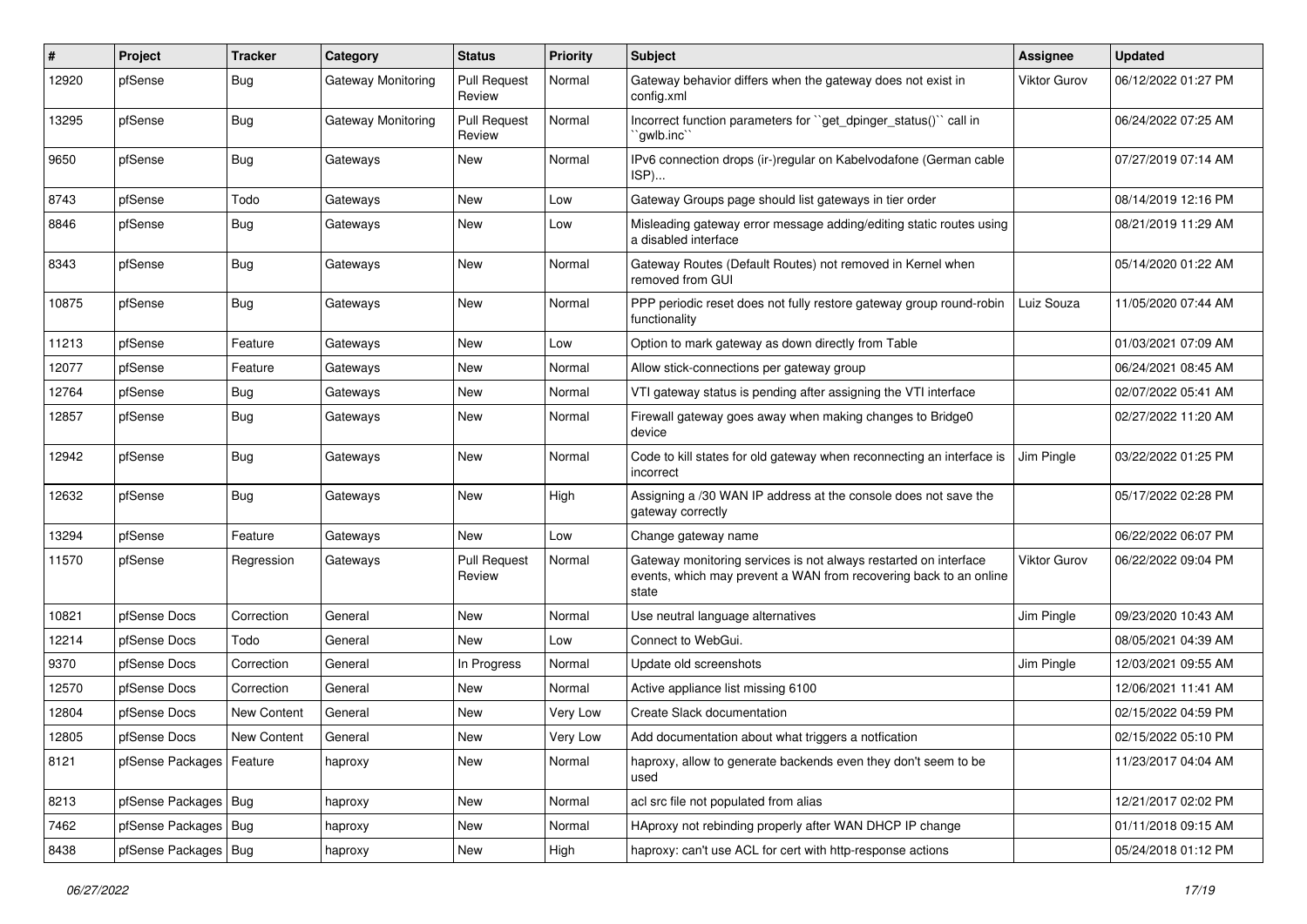| #     | Project                | <b>Tracker</b> | Category                  | <b>Status</b>                 | <b>Priority</b> | <b>Subject</b>                                                                                                                                 | <b>Assignee</b>     | <b>Updated</b>      |
|-------|------------------------|----------------|---------------------------|-------------------------------|-----------------|------------------------------------------------------------------------------------------------------------------------------------------------|---------------------|---------------------|
| 12920 | pfSense                | Bug            | <b>Gateway Monitoring</b> | <b>Pull Request</b><br>Review | Normal          | Gateway behavior differs when the gateway does not exist in<br>config.xml                                                                      | <b>Viktor Gurov</b> | 06/12/2022 01:27 PM |
| 13295 | pfSense                | Bug            | Gateway Monitoring        | <b>Pull Request</b><br>Review | Normal          | Incorrect function parameters for "get_dpinger_status()" call in<br>`gwlb.inc`                                                                 |                     | 06/24/2022 07:25 AM |
| 9650  | pfSense                | Bug            | Gateways                  | New                           | Normal          | IPv6 connection drops (ir-)regular on Kabelvodafone (German cable<br>ISP)                                                                      |                     | 07/27/2019 07:14 AM |
| 8743  | pfSense                | Todo           | Gateways                  | New                           | Low             | Gateway Groups page should list gateways in tier order                                                                                         |                     | 08/14/2019 12:16 PM |
| 8846  | pfSense                | Bug            | Gateways                  | New                           | Low             | Misleading gateway error message adding/editing static routes using<br>a disabled interface                                                    |                     | 08/21/2019 11:29 AM |
| 8343  | pfSense                | Bug            | Gateways                  | New                           | Normal          | Gateway Routes (Default Routes) not removed in Kernel when<br>removed from GUI                                                                 |                     | 05/14/2020 01:22 AM |
| 10875 | pfSense                | Bug            | Gateways                  | <b>New</b>                    | Normal          | PPP periodic reset does not fully restore gateway group round-robin<br>functionality                                                           | Luiz Souza          | 11/05/2020 07:44 AM |
| 11213 | pfSense                | Feature        | Gateways                  | New                           | Low             | Option to mark gateway as down directly from Table                                                                                             |                     | 01/03/2021 07:09 AM |
| 12077 | pfSense                | Feature        | Gateways                  | New                           | Normal          | Allow stick-connections per gateway group                                                                                                      |                     | 06/24/2021 08:45 AM |
| 12764 | pfSense                | Bug            | Gateways                  | <b>New</b>                    | Normal          | VTI gateway status is pending after assigning the VTI interface                                                                                |                     | 02/07/2022 05:41 AM |
| 12857 | pfSense                | <b>Bug</b>     | Gateways                  | New                           | Normal          | Firewall gateway goes away when making changes to Bridge0<br>device                                                                            |                     | 02/27/2022 11:20 AM |
| 12942 | pfSense                | Bug            | Gateways                  | New                           | Normal          | Code to kill states for old gateway when reconnecting an interface is<br>incorrect                                                             | Jim Pingle          | 03/22/2022 01:25 PM |
| 12632 | pfSense                | Bug            | Gateways                  | New                           | High            | Assigning a /30 WAN IP address at the console does not save the<br>gateway correctly                                                           |                     | 05/17/2022 02:28 PM |
| 13294 | pfSense                | Feature        | Gateways                  | <b>New</b>                    | Low             | Change gateway name                                                                                                                            |                     | 06/22/2022 06:07 PM |
| 11570 | pfSense                | Regression     | Gateways                  | <b>Pull Request</b><br>Review | Normal          | Gateway monitoring services is not always restarted on interface<br>events, which may prevent a WAN from recovering back to an online<br>state | <b>Viktor Gurov</b> | 06/22/2022 09:04 PM |
| 10821 | pfSense Docs           | Correction     | General                   | <b>New</b>                    | Normal          | Use neutral language alternatives                                                                                                              | Jim Pingle          | 09/23/2020 10:43 AM |
| 12214 | pfSense Docs           | Todo           | General                   | <b>New</b>                    | Low             | Connect to WebGui.                                                                                                                             |                     | 08/05/2021 04:39 AM |
| 9370  | pfSense Docs           | Correction     | General                   | In Progress                   | Normal          | Update old screenshots                                                                                                                         | Jim Pingle          | 12/03/2021 09:55 AM |
| 12570 | pfSense Docs           | Correction     | General                   | <b>New</b>                    | Normal          | Active appliance list missing 6100                                                                                                             |                     | 12/06/2021 11:41 AM |
| 12804 | pfSense Docs           | New Content    | General                   | <b>New</b>                    | Very Low        | Create Slack documentation                                                                                                                     |                     | 02/15/2022 04:59 PM |
| 12805 | pfSense Docs           | New Content    | General                   | New                           | Very Low        | Add documentation about what triggers a notfication                                                                                            |                     | 02/15/2022 05:10 PM |
| 8121  | pfSense Packages       | Feature        | haproxy                   | New                           | Normal          | haproxy, allow to generate backends even they don't seem to be<br>used                                                                         |                     | 11/23/2017 04:04 AM |
| 8213  | pfSense Packages   Bug |                | haproxy                   | New                           | Normal          | acl src file not populated from alias                                                                                                          |                     | 12/21/2017 02:02 PM |
| 7462  | pfSense Packages   Bug |                | haproxy                   | New                           | Normal          | HAproxy not rebinding properly after WAN DHCP IP change                                                                                        |                     | 01/11/2018 09:15 AM |
| 8438  | pfSense Packages   Bug |                | haproxy                   | New                           | High            | haproxy: can't use ACL for cert with http-response actions                                                                                     |                     | 05/24/2018 01:12 PM |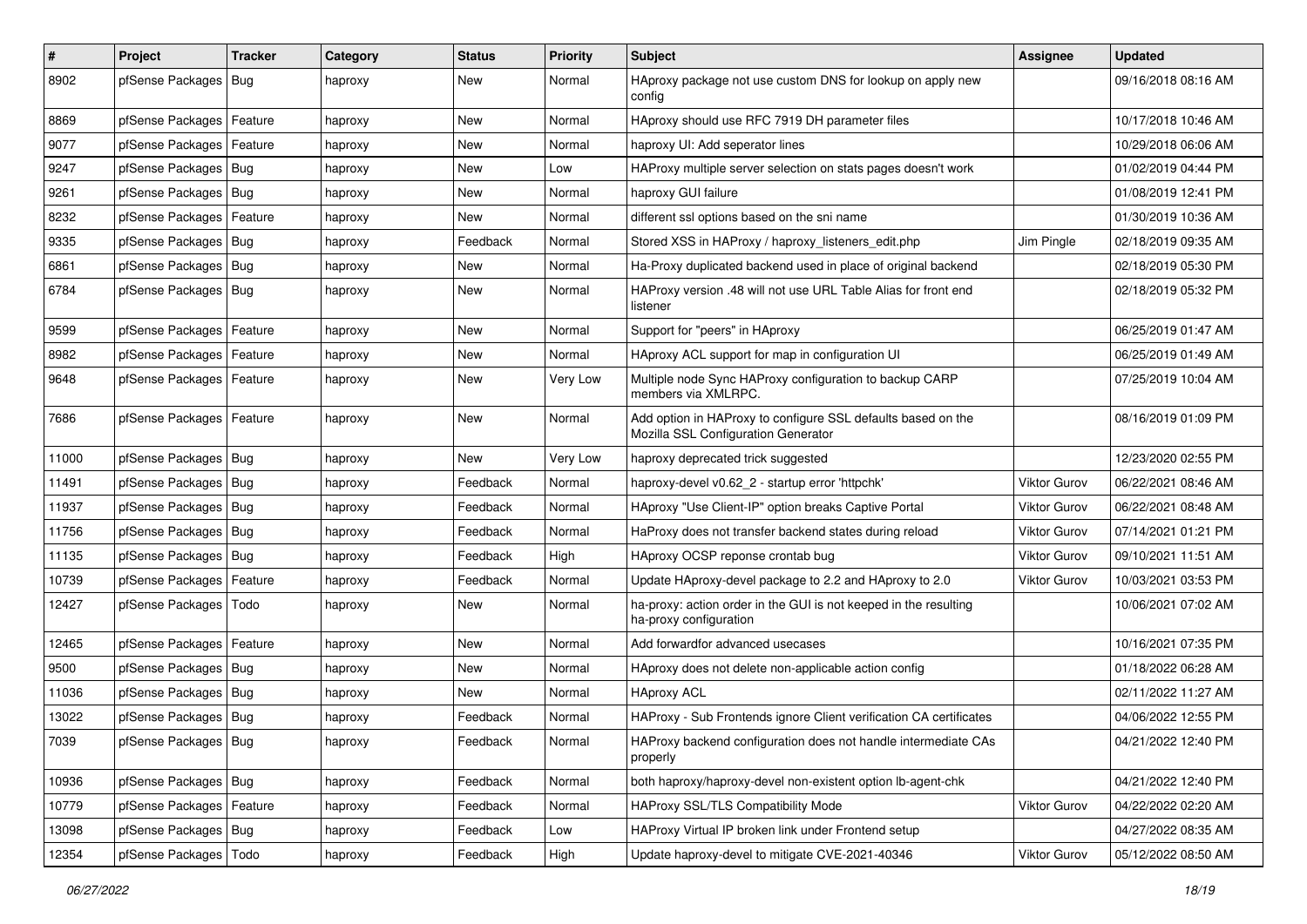| $\vert$ # | Project                    | <b>Tracker</b> | Category | <b>Status</b> | <b>Priority</b> | <b>Subject</b>                                                                                      | Assignee            | <b>Updated</b>      |
|-----------|----------------------------|----------------|----------|---------------|-----------------|-----------------------------------------------------------------------------------------------------|---------------------|---------------------|
| 8902      | pfSense Packages           | Bug            | haproxy  | New           | Normal          | HAproxy package not use custom DNS for lookup on apply new<br>config                                |                     | 09/16/2018 08:16 AM |
| 8869      | pfSense Packages   Feature |                | haproxy  | New           | Normal          | HAproxy should use RFC 7919 DH parameter files                                                      |                     | 10/17/2018 10:46 AM |
| 9077      | pfSense Packages   Feature |                | haproxy  | New           | Normal          | haproxy UI: Add seperator lines                                                                     |                     | 10/29/2018 06:06 AM |
| 9247      | pfSense Packages   Bug     |                | haproxy  | New           | Low             | HAProxy multiple server selection on stats pages doesn't work                                       |                     | 01/02/2019 04:44 PM |
| 9261      | pfSense Packages   Bug     |                | haproxy  | New           | Normal          | haproxy GUI failure                                                                                 |                     | 01/08/2019 12:41 PM |
| 8232      | pfSense Packages   Feature |                | haproxy  | New           | Normal          | different ssl options based on the sni name                                                         |                     | 01/30/2019 10:36 AM |
| 9335      | pfSense Packages   Bug     |                | haproxy  | Feedback      | Normal          | Stored XSS in HAProxy / haproxy_listeners_edit.php                                                  | Jim Pingle          | 02/18/2019 09:35 AM |
| 6861      | pfSense Packages   Bug     |                | haproxy  | New           | Normal          | Ha-Proxy duplicated backend used in place of original backend                                       |                     | 02/18/2019 05:30 PM |
| 6784      | pfSense Packages   Bug     |                | haproxy  | New           | Normal          | HAProxy version .48 will not use URL Table Alias for front end<br>listener                          |                     | 02/18/2019 05:32 PM |
| 9599      | pfSense Packages   Feature |                | haproxy  | New           | Normal          | Support for "peers" in HAproxy                                                                      |                     | 06/25/2019 01:47 AM |
| 8982      | pfSense Packages   Feature |                | haproxy  | New           | Normal          | HAproxy ACL support for map in configuration UI                                                     |                     | 06/25/2019 01:49 AM |
| 9648      | pfSense Packages   Feature |                | haproxy  | New           | Very Low        | Multiple node Sync HAProxy configuration to backup CARP<br>members via XMLRPC.                      |                     | 07/25/2019 10:04 AM |
| 7686      | pfSense Packages   Feature |                | haproxy  | <b>New</b>    | Normal          | Add option in HAProxy to configure SSL defaults based on the<br>Mozilla SSL Configuration Generator |                     | 08/16/2019 01:09 PM |
| 11000     | pfSense Packages   Bug     |                | haproxy  | <b>New</b>    | Very Low        | haproxy deprecated trick suggested                                                                  |                     | 12/23/2020 02:55 PM |
| 11491     | pfSense Packages Bug       |                | haproxy  | Feedback      | Normal          | haproxy-devel v0.62 2 - startup error 'httpchk'                                                     | Viktor Gurov        | 06/22/2021 08:46 AM |
| 11937     | pfSense Packages   Bug     |                | haproxy  | Feedback      | Normal          | HAproxy "Use Client-IP" option breaks Captive Portal                                                | <b>Viktor Gurov</b> | 06/22/2021 08:48 AM |
| 11756     | pfSense Packages   Bug     |                | haproxy  | Feedback      | Normal          | HaProxy does not transfer backend states during reload                                              | Viktor Gurov        | 07/14/2021 01:21 PM |
| 11135     | pfSense Packages   Bug     |                | haproxy  | Feedback      | High            | HAproxy OCSP reponse crontab bug                                                                    | <b>Viktor Gurov</b> | 09/10/2021 11:51 AM |
| 10739     | pfSense Packages           | Feature        | haproxy  | Feedback      | Normal          | Update HAproxy-devel package to 2.2 and HAproxy to 2.0                                              | Viktor Gurov        | 10/03/2021 03:53 PM |
| 12427     | pfSense Packages           | Todo           | haproxy  | New           | Normal          | ha-proxy: action order in the GUI is not keeped in the resulting<br>ha-proxy configuration          |                     | 10/06/2021 07:02 AM |
| 12465     | pfSense Packages   Feature |                | haproxy  | <b>New</b>    | Normal          | Add forwardfor advanced usecases                                                                    |                     | 10/16/2021 07:35 PM |
| 9500      | pfSense Packages   Bug     |                | haproxy  | New           | Normal          | HAproxy does not delete non-applicable action config                                                |                     | 01/18/2022 06:28 AM |
| 11036     | pfSense Packages   Bug     |                | haproxy  | New           | Normal          | <b>HAproxy ACL</b>                                                                                  |                     | 02/11/2022 11:27 AM |
| 13022     | pfSense Packages   Bug     |                | haproxy  | Feedback      | Normal          | HAProxy - Sub Frontends ignore Client verification CA certificates                                  |                     | 04/06/2022 12:55 PM |
| 7039      | pfSense Packages   Bug     |                | haproxy  | Feedback      | Normal          | HAProxy backend configuration does not handle intermediate CAs<br>properly                          |                     | 04/21/2022 12:40 PM |
| 10936     | pfSense Packages   Bug     |                | haproxy  | Feedback      | Normal          | both haproxy/haproxy-devel non-existent option lb-agent-chk                                         |                     | 04/21/2022 12:40 PM |
| 10779     | pfSense Packages   Feature |                | haproxy  | Feedback      | Normal          | HAProxy SSL/TLS Compatibility Mode                                                                  | Viktor Gurov        | 04/22/2022 02:20 AM |
| 13098     | pfSense Packages   Bug     |                | haproxy  | Feedback      | Low             | HAProxy Virtual IP broken link under Frontend setup                                                 |                     | 04/27/2022 08:35 AM |
| 12354     | pfSense Packages           | Todo           | haproxy  | Feedback      | High            | Update haproxy-devel to mitigate CVE-2021-40346                                                     | Viktor Gurov        | 05/12/2022 08:50 AM |